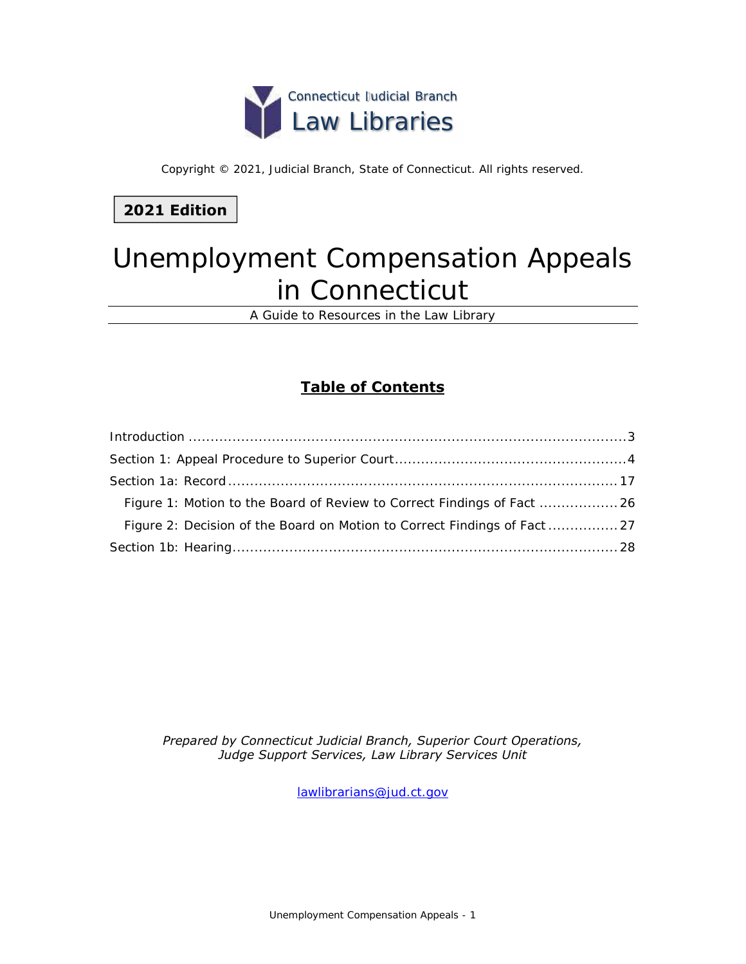

Copyright © 2021, Judicial Branch, State of Connecticut. All rights reserved.

## **2021 Edition**

# Unemployment Compensation Appeals in Connecticut

A Guide to Resources in the Law Library

## **Table of Contents**

| Figure 2: Decision of the Board on Motion to Correct Findings of Fact  27 |
|---------------------------------------------------------------------------|
|                                                                           |

*Prepared by Connecticut Judicial Branch, Superior Court Operations, Judge Support Services, Law Library Services Unit* 

[lawlibrarians@jud.ct.gov](mailto:lawlibrarians@jud.ct.gov)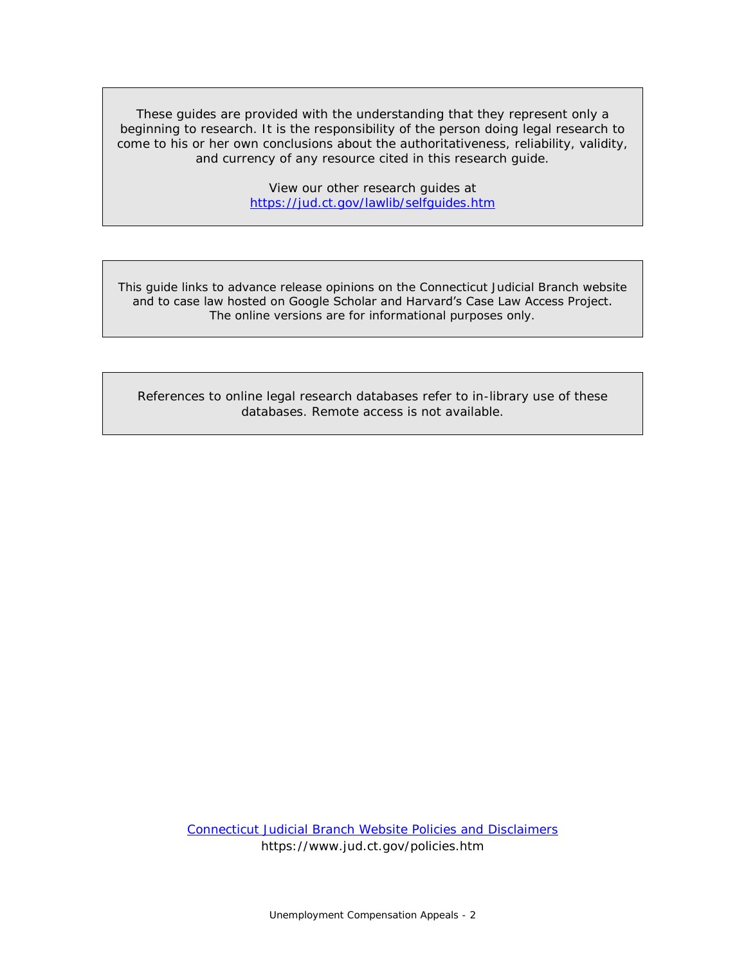These guides are provided with the understanding that they represent only a beginning to research. It is the responsibility of the person doing legal research to come to his or her own conclusions about the authoritativeness, reliability, validity, and currency of any resource cited in this research guide.

> View our other research guides at <https://jud.ct.gov/lawlib/selfguides.htm>

This guide links to advance release opinions on the Connecticut Judicial Branch website and to case law hosted on Google Scholar and Harvard's Case Law Access Project. The online versions are for informational purposes only.

References to online legal research databases refer to in-library use of these databases. Remote access is not available.

> [Connecticut Judicial Branch Website Policies and Disclaimers](https://www.jud.ct.gov/policies.htm) https://www.jud.ct.gov/policies.htm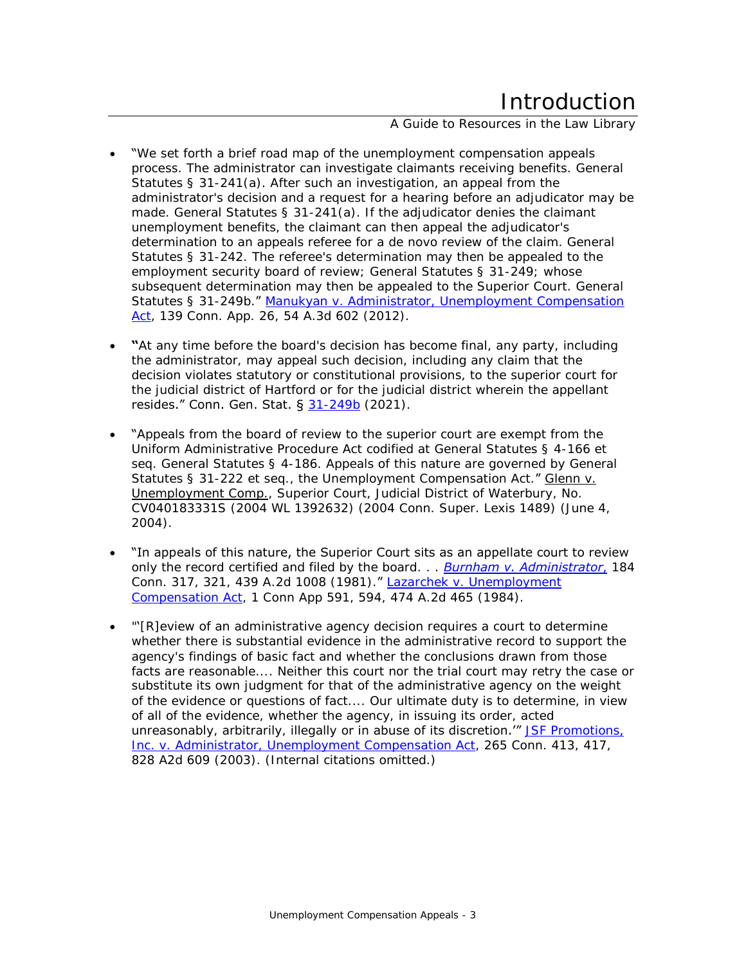A Guide to Resources in the Law Library

- <span id="page-2-0"></span> "We set forth a brief road map of the unemployment compensation appeals process. The administrator can investigate claimants receiving benefits. General Statutes § 31-241(a). After such an investigation, an appeal from the administrator's decision and a request for a hearing before an adjudicator may be made. General Statutes § 31-241(a). If the adjudicator denies the claimant unemployment benefits, the claimant can then appeal the adjudicator's determination to an appeals referee for a de novo review of the claim. General Statutes § 31-242. The referee's determination may then be appealed to the employment security board of review; General Statutes § 31-249; whose subsequent determination may then be appealed to the Superior Court. General Statutes § 31-249b." [Manukyan v. Administrator, Unemployment Compensation](https://scholar.google.com/scholar_case?case=17590621152325959132)  [Act,](https://scholar.google.com/scholar_case?case=17590621152325959132) 139 Conn. App. 26, 54 A.3d 602 (2012).
- **"**At any time before the board's decision has become final, any party, including the administrator, may appeal such decision, including any claim that the decision violates statutory or constitutional provisions, to the superior court for the judicial district of Hartford or for the judicial district wherein the appellant resides." Conn. Gen. Stat. § [31-249b](https://www.cga.ct.gov/current/pub/chap_567.htm#sec_31-249b) (2021).
- "Appeals from the board of review to the superior court are exempt from the Uniform Administrative Procedure Act codified at [General Statutes § 4-166](https://1.next.westlaw.com/Link/Document/FullText?findType=L&pubNum=1000264&cite=CTSTS4-166&originatingDoc=I324a6225330c11d98b61a35269fc5f88&refType=LQ&originationContext=document&transitionType=DocumentItem&contextData=(sc.Search)) et seq. [General Statutes § 4-186.](https://1.next.westlaw.com/Link/Document/FullText?findType=L&pubNum=1000264&cite=CTSTS4-186&originatingDoc=I324a6225330c11d98b61a35269fc5f88&refType=LQ&originationContext=document&transitionType=DocumentItem&contextData=(sc.Search)) Appeals of this nature are governed by [General](https://1.next.westlaw.com/Link/Document/FullText?findType=L&pubNum=1000264&cite=CTSTS31-222&originatingDoc=I324a6225330c11d98b61a35269fc5f88&refType=LQ&originationContext=document&transitionType=DocumentItem&contextData=(sc.Search))  [Statutes § 31-222](https://1.next.westlaw.com/Link/Document/FullText?findType=L&pubNum=1000264&cite=CTSTS31-222&originatingDoc=I324a6225330c11d98b61a35269fc5f88&refType=LQ&originationContext=document&transitionType=DocumentItem&contextData=(sc.Search)) et seq., the Unemployment Compensation Act." Glenn v. Unemployment Comp., Superior Court, Judicial District of Waterbury, No. CV040183331S (2004 WL 1392632) (2004 Conn. Super. Lexis 1489) (June 4, 2004).
- "In appeals of this nature, the Superior Court sits as an appellate court to review only the record certified and filed by the board. . . *[Burnham v. Administrator](https://scholar.google.com/scholar_case?case=10323498003365692465)*, 184 Conn. 317, 321, 439 A.2d 1008 (1981)." [Lazarchek v. Unemployment](https://scholar.google.com/scholar_case?case=10719504378531437473)  [Compensation Act,](https://scholar.google.com/scholar_case?case=10719504378531437473) 1 Conn App 591, 594, 474 A.2d 465 (1984).
- "'[R]eview of an administrative agency decision requires a court to determine whether there is substantial evidence in the administrative record to support the agency's findings of basic fact and whether the conclusions drawn from those facts are reasonable.... Neither this court nor the trial court may retry the case or substitute its own judgment for that of the administrative agency on the weight of the evidence or questions of fact.... Our ultimate duty is to determine, in view of all of the evidence, whether the agency, in issuing its order, acted unreasonably, arbitrarily, illegally or in abuse of its discretion." JSF Promotions, [Inc. v. Administrator, Unemployment Compensation Act,](https://scholar.google.com/scholar_case?case=14182612149453531095) 265 Conn. 413, 417, 828 A2d 609 (2003). (Internal citations omitted.)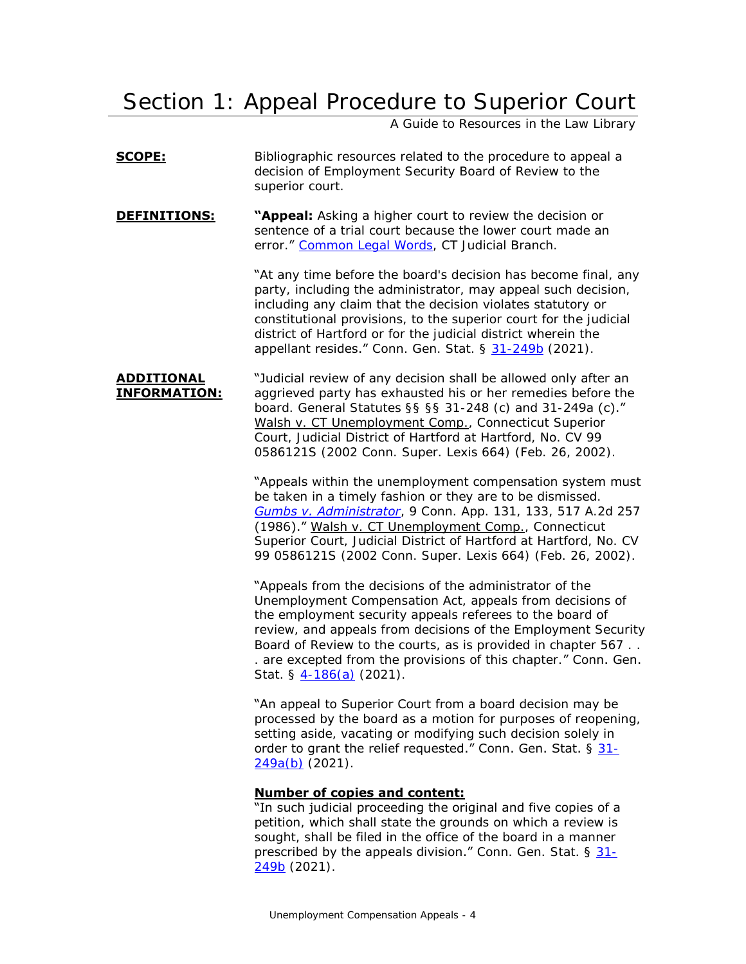## <span id="page-3-0"></span>Section 1: Appeal Procedure to Superior Court

A Guide to Resources in the Law Library

- **SCOPE:** Bibliographic resources related to the procedure to appeal a decision of Employment Security Board of Review to the superior court.
- **DEFINITIONS: "Appeal:** Asking a higher court to review the decision or sentence of a trial court because the lower court made an error." [Common Legal Words,](https://www.jud.ct.gov/legalterms.htm#A) CT Judicial Branch.

"At any time before the board's decision has become final, any party, including the administrator, may appeal such decision, including any claim that the decision violates statutory or constitutional provisions, to the superior court for the judicial district of Hartford or for the judicial district wherein the appellant resides." Conn. Gen. Stat. § [31-249b](https://www.cga.ct.gov/current/pub/chap_567.htm#sec_31-249b) (2021).

**ADDITIONAL INFORMATION:** "Judicial review of any decision shall be allowed only after an aggrieved party has exhausted his or her remedies before the board. General Statutes §§ §§ 31-248 (c) and 31-249a (c)." Walsh v. CT Unemployment Comp., Connecticut Superior Court, Judicial District of Hartford at Hartford, No. CV 99 0586121S (2002 Conn. Super. Lexis 664) (Feb. 26, 2002).

> "Appeals within the unemployment compensation system must be taken in a timely fashion or they are to be dismissed. *[Gumbs v. Administrator](https://scholar.google.com/scholar_case?case=11424500692784463607)*, 9 Conn. App. 131, 133, 517 A.2d 257 (1986)." Walsh v. CT Unemployment Comp., Connecticut Superior Court, Judicial District of Hartford at Hartford, No. CV 99 0586121S (2002 Conn. Super. Lexis 664) (Feb. 26, 2002).

> "Appeals from the decisions of the administrator of the Unemployment Compensation Act, appeals from decisions of the employment security appeals referees to the board of review, and appeals from decisions of the Employment Security Board of Review to the courts, as is provided in chapter 567 . . . are excepted from the provisions of this chapter." Conn. Gen. Stat. § [4-186\(a\)](https://www.cga.ct.gov/current/pub/chap_054.htm#sec_4-186) (2021).

"An appeal to Superior Court from a board decision may be processed by the board as a motion for purposes of reopening, setting aside, vacating or modifying such decision solely in order to grant the relief requested." Conn. Gen. Stat.  $\S 31 -$ [249a\(b\)](https://www.cga.ct.gov/current/pub/chap_567.htm#sec_31-249a) (2021).

### **Number of copies and content:**

"In such judicial proceeding the original and five copies of a petition, which shall state the grounds on which a review is sought, shall be filed in the office of the board in a manner prescribed by the appeals division." Conn. Gen. Stat. § [31-](https://www.cga.ct.gov/current/pub/chap_567.htm#sec_31-249b) [249b](https://www.cga.ct.gov/current/pub/chap_567.htm#sec_31-249b) (2021).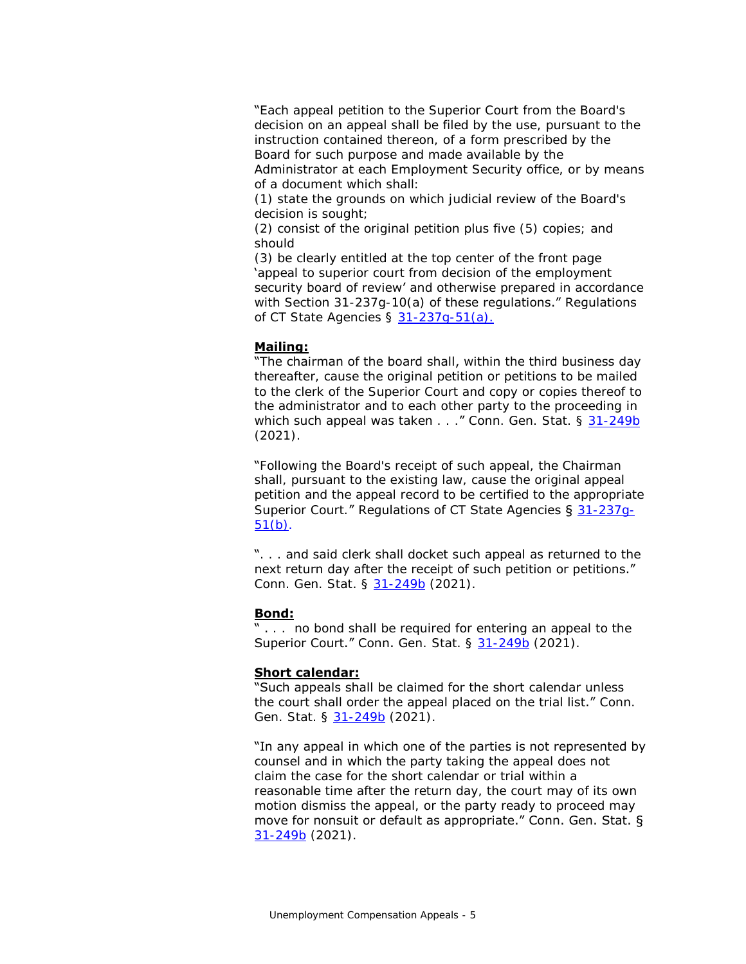"Each appeal petition to the Superior Court from the Board's decision on an appeal shall be filed by the use, pursuant to the instruction contained thereon, of a form prescribed by the Board for such purpose and made available by the

Administrator at each Employment Security office, or by means of a document which shall:

(1) state the grounds on which judicial review of the Board's decision is sought;

(2) consist of the original petition plus five (5) copies; and should

(3) be clearly entitled at the top center of the front page 'appeal to superior court from decision of the employment security board of review' and otherwise prepared in accordance with Section 31-237g-10(a) of these regulations." Regulations of CT State Agencies § [31-237g-51\(a\).](https://eregulations.ct.gov/eRegsPortal/Browse/RCSA/Title_31Subtitle_31-237gSection_31-237g-51/)

### **Mailing:**

"The chairman of the board shall, within the third business day thereafter, cause the original petition or petitions to be mailed to the clerk of the Superior Court and copy or copies thereof to the administrator and to each other party to the proceeding in which such appeal was taken . . . " Conn. Gen. Stat. § [31-249b](https://www.cga.ct.gov/current/pub/chap_567.htm#sec_31-249b) (2021).

"Following the Board's receipt of such appeal, the Chairman shall, pursuant to the existing law, cause the original appeal petition and the appeal record to be certified to the appropriate Superior Court." Regulations of CT State Agencies § [31-237g-](https://eregulations.ct.gov/eRegsPortal/Browse/RCSA/Title_31Subtitle_31-237gSection_31-237g-51/)[51\(b\).](https://eregulations.ct.gov/eRegsPortal/Browse/RCSA/Title_31Subtitle_31-237gSection_31-237g-51/)

". . . and said clerk shall docket such appeal as returned to the next return day after the receipt of such petition or petitions." Conn. Gen. Stat. § [31-249b](https://www.cga.ct.gov/current/pub/chap_567.htm#sec_31-249b) (2021).

#### **Bond:**

... no bond shall be required for entering an appeal to the Superior Court." Conn. Gen. Stat. § [31-249b](https://www.cga.ct.gov/current/pub/chap_567.htm#sec_31-249b) (2021).

#### **Short calendar:**

"Such appeals shall be claimed for the short calendar unless the court shall order the appeal placed on the trial list." Conn. Gen. Stat. § [31-249b](https://www.cga.ct.gov/current/pub/chap_567.htm#sec_31-249b) (2021).

"In any appeal in which one of the parties is not represented by counsel and in which the party taking the appeal does not claim the case for the short calendar or trial within a reasonable time after the return day, the court may of its own motion dismiss the appeal, or the party ready to proceed may move for nonsuit or default as appropriate." Conn. Gen. Stat. § [31-249b](https://www.cga.ct.gov/current/pub/chap_567.htm#sec_31-249b) (2021).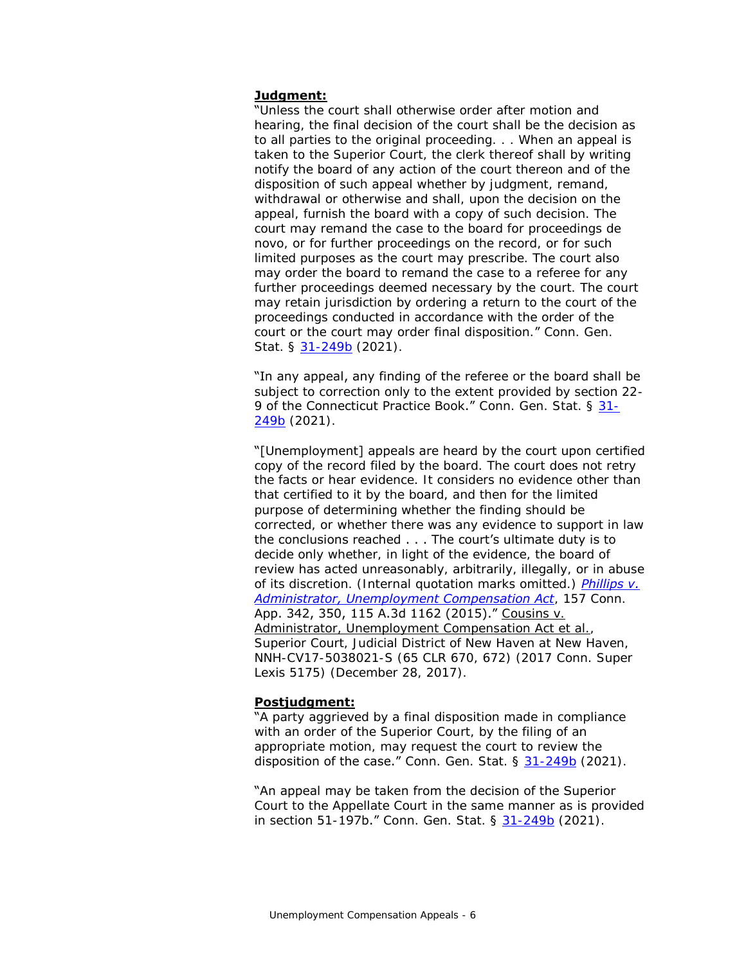#### **Judgment:**

"Unless the court shall otherwise order after motion and hearing, the final decision of the court shall be the decision as to all parties to the original proceeding. . . When an appeal is taken to the Superior Court, the clerk thereof shall by writing notify the board of any action of the court thereon and of the disposition of such appeal whether by judgment, remand, withdrawal or otherwise and shall, upon the decision on the appeal, furnish the board with a copy of such decision. The court may remand the case to the board for proceedings de novo, or for further proceedings on the record, or for such limited purposes as the court may prescribe. The court also may order the board to remand the case to a referee for any further proceedings deemed necessary by the court. The court may retain jurisdiction by ordering a return to the court of the proceedings conducted in accordance with the order of the court or the court may order final disposition." Conn. Gen. Stat. § [31-249b](https://www.cga.ct.gov/current/pub/chap_567.htm#sec_31-249b) (2021).

"In any appeal, any finding of the referee or the board shall be subject to correction only to the extent provided by section 22- 9 of the Connecticut Practice Book." Conn. Gen. Stat. § [31-](https://www.cga.ct.gov/current/pub/chap_567.htm#sec_31-249b) [249b](https://www.cga.ct.gov/current/pub/chap_567.htm#sec_31-249b) (2021).

"[Unemployment] appeals are heard by the court upon certified copy of the record filed by the board. The court does not retry the facts or hear evidence. It considers no evidence other than that certified to it by the board, and then for the limited purpose of determining whether the finding should be corrected, or whether there was any evidence to support in law the conclusions reached . . . The court's ultimate duty is to decide only whether, in light of the evidence, the board of review has acted unreasonably, arbitrarily, illegally, or in abuse of its discretion. (Internal quotation marks omitted.) *[Phillips v.](https://scholar.google.com/scholar_case?case=12160900474419414886)  [Administrator, Unemployment Compensation Act](https://scholar.google.com/scholar_case?case=12160900474419414886)*, 157 Conn. App. 342, 350, 115 A.3d 1162 (2015)." Cousins v. Administrator, Unemployment Compensation Act et al., Superior Court, Judicial District of New Haven at New Haven, NNH-CV17-5038021-S (65 CLR 670, 672) (2017 Conn. Super Lexis 5175) (December 28, 2017).

#### **Postjudgment:**

"A party aggrieved by a final disposition made in compliance with an order of the Superior Court, by the filing of an appropriate motion, may request the court to review the disposition of the case." Conn. Gen. Stat.  $\S$  [31-249b](https://www.cga.ct.gov/current/pub/chap_567.htm#sec_31-249b) (2021).

"An appeal may be taken from the decision of the Superior Court to the Appellate Court in the same manner as is provided in section 51-197b." Conn. Gen. Stat. § [31-249b](https://www.cga.ct.gov/current/pub/chap_567.htm#sec_31-249b) (2021).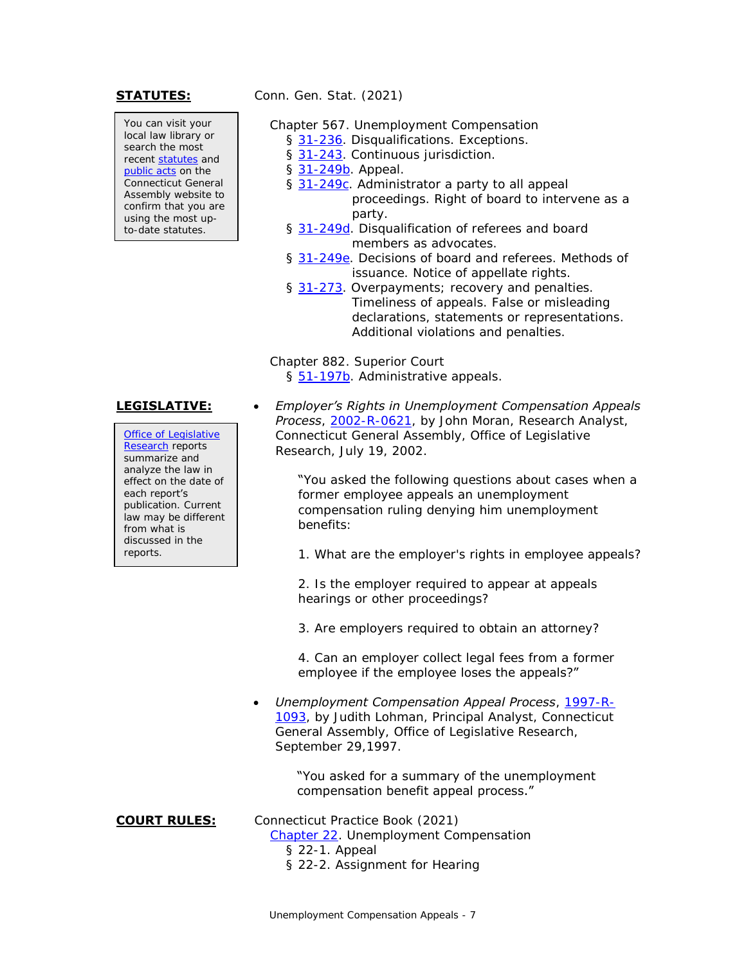You can visit your local law library or search the most recent [statutes](https://search.cga.state.ct.us/r/statute/) and [public acts](https://search.cga.state.ct.us/r/adv/dtsearch_form.asp) on the Connecticut General Assembly website to confirm that you are using the most upto-date statutes.

**STATUTES:** Conn. Gen. Stat. (2021)

- Chapter 567. Unemployment Compensation
	- § [31-236.](https://www.cga.ct.gov/current/pub/chap_567.htm#sec_31-236) Disqualifications. Exceptions.
	- § [31-243.](https://www.cga.ct.gov/current/pub/chap_567.htm#sec_31-243) Continuous jurisdiction.
	- § [31-249b.](https://www.cga.ct.gov/current/pub/chap_567.htm#sec_31-249b) Appeal.
	- § [31-249c.](https://www.cga.ct.gov/current/pub/chap_567.htm#sec_31-249c) Administrator a party to all appeal proceedings. Right of board to intervene as a party.
	- § [31-249d.](https://www.cga.ct.gov/current/pub/chap_567.htm#sec_31-249d) Disqualification of referees and board members as advocates.
	- § [31-249e.](https://www.cga.ct.gov/current/pub/chap_567.htm#sec_31-249e) Decisions of board and referees. Methods of issuance. Notice of appellate rights.
	- § [31-273.](https://www.cga.ct.gov/current/pub/chap_567.htm#sec_31-273) Overpayments; recovery and penalties. Timeliness of appeals. False or misleading declarations, statements or representations. Additional violations and penalties.

Chapter 882. Superior Court § [51-197b.](https://www.cga.ct.gov/current/pub/chap_882.htm#sec_51-197b) Administrative appeals.

[Office of Legislative](https://www.cga.ct.gov/olr/default.asp)  [Research](https://www.cga.ct.gov/olr/default.asp) reports summarize and analyze the law in effect on the date of each report's publication. Current law may be different from what is discussed in the reports.

**LEGISLATIVE:**  *Employer's Rights in Unemployment Compensation Appeals Process*, [2002-R-0621,](https://www.cga.ct.gov/2002/rpt/2002-R-0621.htm) by John Moran, Research Analyst, Connecticut General Assembly, Office of Legislative Research, July 19, 2002.

> "You asked the following questions about cases when a former employee appeals an unemployment compensation ruling denying him unemployment benefits:

> 1. What are the employer's rights in employee appeals?

2. Is the employer required to appear at appeals hearings or other proceedings?

3. Are employers required to obtain an attorney?

4. Can an employer collect legal fees from a former employee if the employee loses the appeals?"

 *Unemployment Compensation Appeal Process*, [1997-R-](https://cga.ct.gov/PS97/rpt/olr/htm/97-R-1093.htm)[1093,](https://cga.ct.gov/PS97/rpt/olr/htm/97-R-1093.htm) by Judith Lohman, Principal Analyst, Connecticut General Assembly, Office of Legislative Research, September 29,1997.

#### "You asked for a summary of the unemployment compensation benefit appeal process."

**COURT RULES:** Connecticut Practice Book (2021)

[Chapter 22.](https://www.jud.ct.gov/Publications/PracticeBook/PB.pdf#page=278) Unemployment Compensation § 22-1. Appeal

§ 22-2. Assignment for Hearing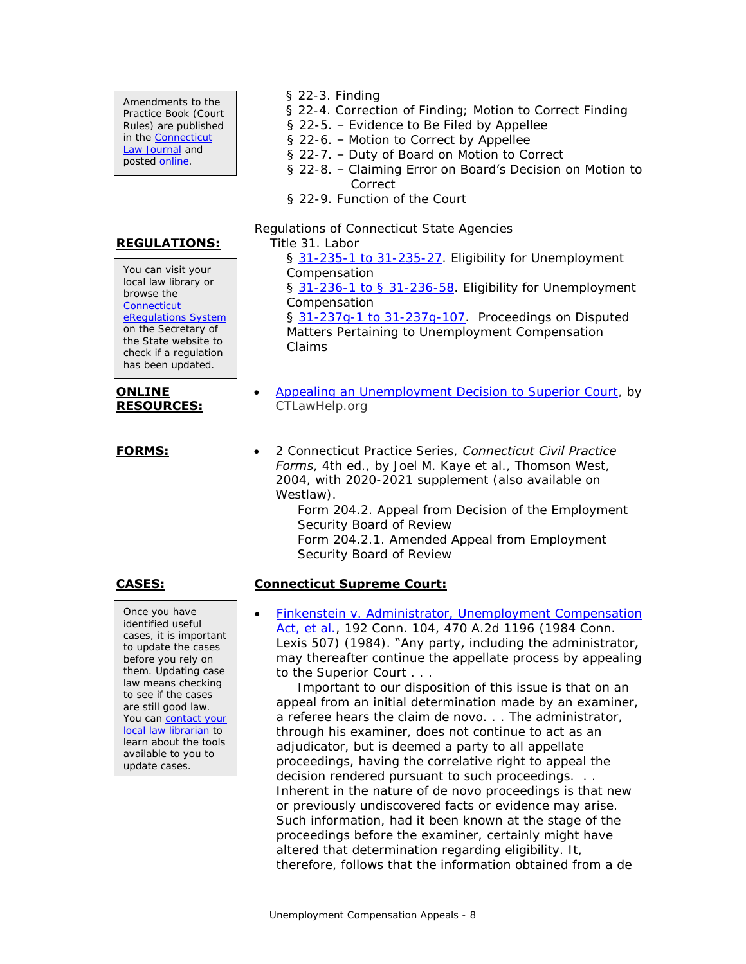Amendments to the Practice Book (Court Rules) are published in the [Connecticut](https://jud.ct.gov/lawjournal/)  [Law Journal](https://jud.ct.gov/lawjournal/) and posted [online.](https://www.jud.ct.gov/pb.htm)

### **REGULATIONS:**

You can visit your local law library or browse the **Connecticut** [eRegulations System](https://eregulations.ct.gov/eRegsPortal/) on the Secretary of the State website to check if a regulation has been updated.

#### **ONLINE RESOURCES:**

Once you have identified useful cases, it is important to update the cases

- § 22-3. Finding
- § 22-4. Correction of Finding; Motion to Correct Finding
- § 22-5. Evidence to Be Filed by Appellee
- § 22-6. Motion to Correct by Appellee
- § 22-7. Duty of Board on Motion to Correct
- § 22-8. Claiming Error on Board's Decision on Motion to Correct
- § 22-9. Function of the Court

Regulations of Connecticut State Agencies

Title 31. Labor

§ [31-235-1 to 31-235-27.](https://eregulations.ct.gov/eRegsPortal/Browse/RCSA/Title_31Subtitle_31-235/) Eligibility for Unemployment Compensation

§ [31-236-1 to § 31-236-58.](https://eregulations.ct.gov/eRegsPortal/Browse/RCSA/Title_31Subtitle_31-236/) Eligibility for Unemployment Compensation

§ [31-237g-1 to 31-237g-107.](https://eregulations.ct.gov/eRegsPortal/Browse/RCSA/Title_31Subtitle_31-237g/) Proceedings on Disputed Matters Pertaining to Unemployment Compensation Claims

- [Appealing an Unemployment Decision to Superior Court,](https://ctlawhelp.org/en/node/466) by CTLawHelp.org
- **FORMS:** 2 Connecticut Practice Series, *Connecticut Civil Practice Forms*, 4th ed., by Joel M. Kaye et al., Thomson West, 2004, with 2020-2021 supplement (also available on Westlaw).

Form 204.2. Appeal from Decision of the Employment Security Board of Review Form 204.2.1. Amended Appeal from Employment Security Board of Review

### **CASES: Connecticut Supreme Court:**

 [Finkenstein v. Administrator, Unemployment Compensation](https://scholar.google.com/scholar_case?case=17716164974626879685)  [Act, et al.,](https://scholar.google.com/scholar_case?case=17716164974626879685) 192 Conn. 104, 470 A.2d 1196 (1984 Conn. Lexis 507) (1984). "Any party, including the administrator, may thereafter continue the appellate process by appealing to the Superior Court . . .

 Important to our disposition of this issue is that on an appeal from an initial determination made by an examiner, a referee hears the claim de novo. . . The administrator, through his examiner, does not continue to act as an adjudicator, but is deemed a party to all appellate proceedings, having the correlative right to appeal the decision rendered pursuant to such proceedings. . . Inherent in the nature of de novo proceedings is that new or previously undiscovered facts or evidence may arise. Such information, had it been known at the stage of the proceedings before the examiner, certainly might have altered that determination regarding eligibility. It, therefore, follows that the information obtained from a de

before you rely on them. Updating case law means checking to see if the cases are still good law. You can [contact your](https://www.jud.ct.gov/lawlib/staff.htm)  [local law librarian](https://www.jud.ct.gov/lawlib/staff.htm) to learn about the tools available to you to update cases.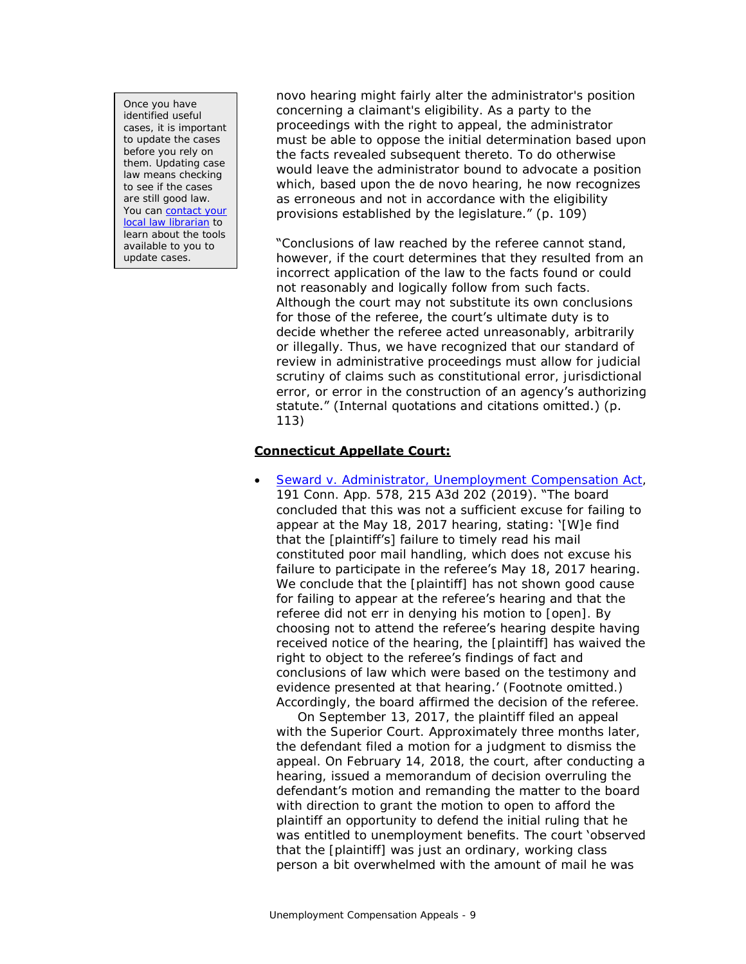Once you have identified useful cases, it is important to update the cases before you rely on them. Updating case law means checking to see if the cases are still good law. You can contact your [local law librarian](https://www.jud.ct.gov/lawlib/staff.htm) to learn about the tools available to you to update cases.

novo hearing might fairly alter the administrator's position concerning a claimant's eligibility. As a party to the proceedings with the right to appeal, the administrator must be able to oppose the initial determination based upon the facts revealed subsequent thereto. To do otherwise would leave the administrator bound to advocate a position which, based upon the de novo hearing, he now recognizes as erroneous and not in accordance with the eligibility provisions established by the legislature." (p. 109)

"Conclusions of law reached by the referee cannot stand, however, if the court determines that they resulted from an incorrect application of the law to the facts found or could not reasonably and logically follow from such facts. Although the court may not substitute its own conclusions for those of the referee, the court's ultimate duty is to decide whether the referee acted unreasonably, arbitrarily or illegally. Thus, we have recognized that our standard of review in administrative proceedings must allow for judicial scrutiny of claims such as constitutional error, jurisdictional error, or error in the construction of an agency's authorizing statute." (Internal quotations and citations omitted.) (p. 113)

### **Connecticut Appellate Court:**

 [Seward v. Administrator, Unemployment Compensation Act,](https://scholar.google.com/scholar_case?case=6474200747221317108) 191 Conn. App. 578, 215 A3d 202 (2019). "The board concluded that this was not a sufficient excuse for failing to appear at the May 18, 2017 hearing, stating: '[W]e find that the [plaintiff's] failure to timely read his mail constituted poor mail handling, which does not excuse his failure to participate in the referee's May 18, 2017 hearing. We conclude that the [plaintiff] has not shown good cause for failing to appear at the referee's hearing and that the referee did not err in denying his motion to [open]. By choosing not to attend the referee's hearing despite having received notice of the hearing, the [plaintiff] has waived the right to object to the referee's findings of fact and conclusions of law which were based on the testimony and evidence presented at that hearing.' (Footnote omitted.) Accordingly, the board affirmed the decision of the referee.

 On September 13, 2017, the plaintiff filed an appeal with the Superior Court. Approximately three months later, the defendant filed a motion for a judgment to dismiss the appeal. On February 14, 2018, the court, after conducting a hearing, issued a memorandum of decision overruling the defendant's motion and remanding the matter to the board with direction to grant the motion to open to afford the plaintiff an opportunity to defend the initial ruling that he was entitled to unemployment benefits. The court 'observed that the [plaintiff] was just an ordinary, working class person a bit overwhelmed with the amount of mail he was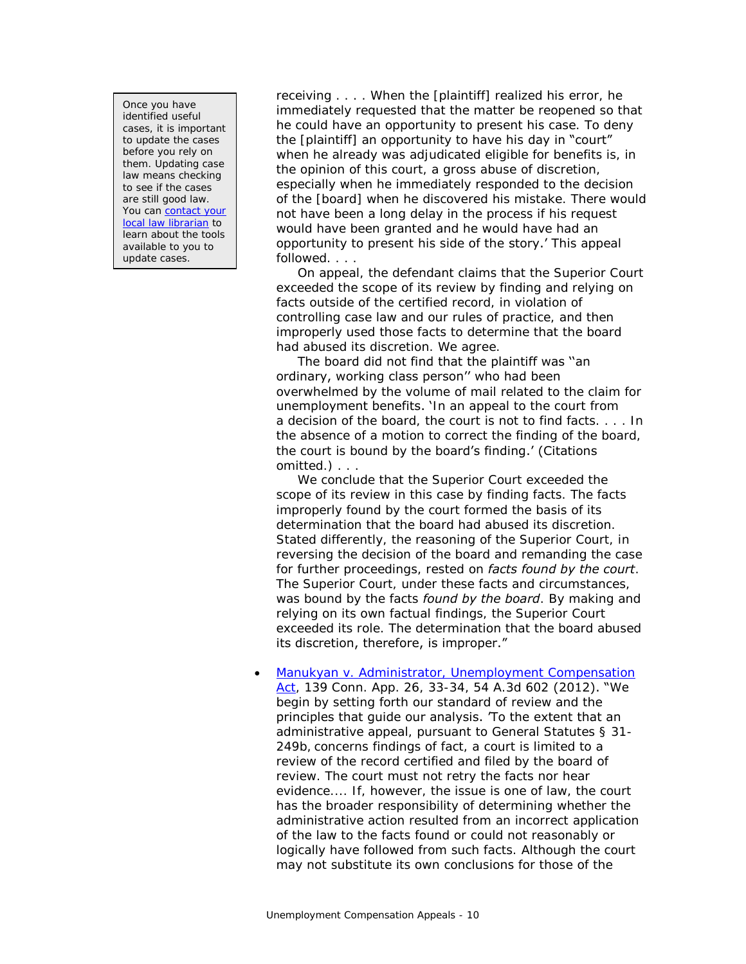Once you have identified useful cases, it is important to update the cases before you rely on them. Updating case law means checking to see if the cases are still good law. You can [contact your](https://www.jud.ct.gov/lawlib/staff.htm)  [local law librarian](https://www.jud.ct.gov/lawlib/staff.htm) to learn about the tools available to you to update cases.

receiving . . . . When the [plaintiff] realized his error, he immediately requested that the matter be reopened so that he could have an opportunity to present his case. To deny the [plaintiff] an opportunity to have his day in "court" when he already was adjudicated eligible for benefits is, in the opinion of this court, a gross abuse of discretion, especially when he immediately responded to the decision of the [board] when he discovered his mistake. There would not have been a long delay in the process if his request would have been granted and he would have had an opportunity to present his side of the story.' This appeal followed. . . .

 On appeal, the defendant claims that the Superior Court exceeded the scope of its review by finding and relying on facts outside of the certified record, in violation of controlling case law and our rules of practice, and then improperly used those facts to determine that the board had abused its discretion. We agree.

 The board did not find that the plaintiff was ''an ordinary, working class person'' who had been overwhelmed by the volume of mail related to the claim for unemployment benefits. 'In an appeal to the court from a decision of the board, the court is not to find facts. . . . In the absence of a motion to correct the finding of the board, the court is bound by the board's finding.' (Citations omitted.) . . .

 We conclude that the Superior Court exceeded the scope of its review in this case by finding facts. The facts improperly found by the court formed the basis of its determination that the board had abused its discretion. Stated differently, the reasoning of the Superior Court, in reversing the decision of the board and remanding the case for further proceedings, rested on *facts found by the court*. The Superior Court, under these facts and circumstances, was bound by the facts *found by the board*. By making and relying on its own factual findings, the Superior Court exceeded its role. The determination that the board abused its discretion, therefore, is improper."

• Manukyan v. Administrator, Unemployment Compensation [Act,](https://scholar.google.com/scholar_case?case=17590621152325959132) 139 Conn. App. 26, 33-34, 54 A.3d 602 (2012). "We begin by setting forth our standard of review and the principles that guide our analysis. 'To the extent that an administrative appeal, pursuant to General Statutes § 31- 249b, concerns findings of fact, a court is limited to a review of the record certified and filed by the board of review. The court must not retry the facts nor hear evidence.... If, however, the issue is one of law, the court has the broader responsibility of determining whether the administrative action resulted from an incorrect application of the law to the facts found or could not reasonably or logically have followed from such facts. Although the court may not substitute its own conclusions for those of the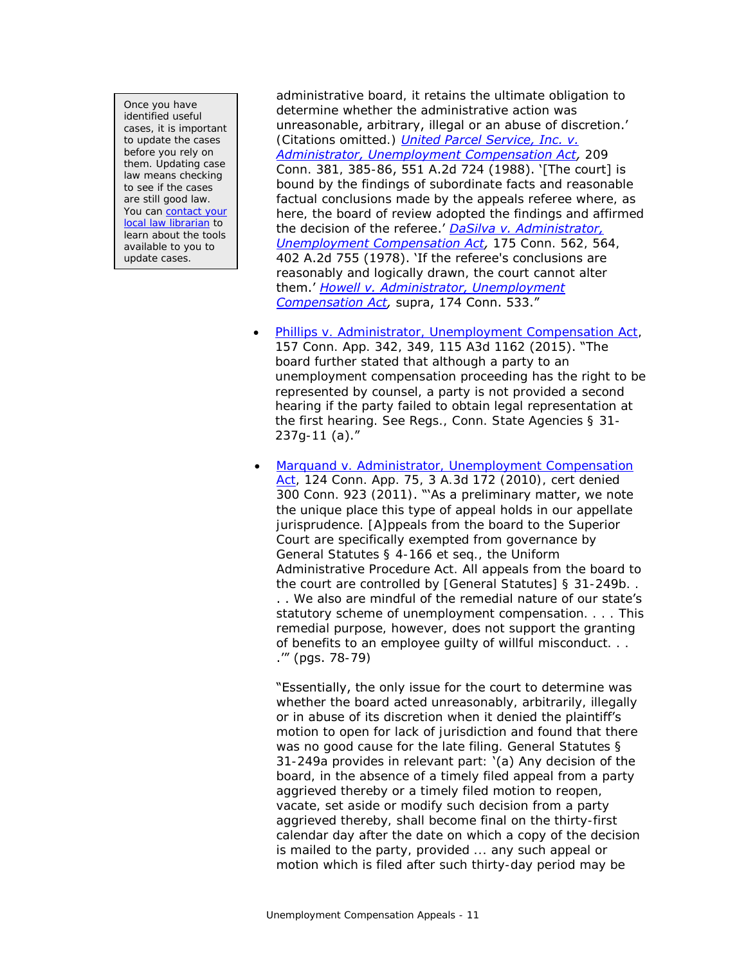Once you have identified useful cases, it is important to update the cases before you rely on them. Updating case law means checking to see if the cases are still good law. You can contact your [local law librarian](https://www.jud.ct.gov/lawlib/staff.htm) to learn about the tools available to you to update cases.

administrative board, it retains the ultimate obligation to determine whether the administrative action was unreasonable, arbitrary, illegal or an abuse of discretion.' (Citations omitted.) *[United Parcel Service, Inc. v.](https://scholar.google.com/scholar_case?case=4058177561784863416)  [Administrator, Unemployment Compensation Act,](https://scholar.google.com/scholar_case?case=4058177561784863416)* 209 Conn. 381, 385-86, 551 A.2d 724 (1988). '[The court] is bound by the findings of subordinate facts and reasonable factual conclusions made by the appeals referee where, as here, the board of review adopted the findings and affirmed the decision of the referee.' *[DaSilva v. Administrator,](https://scholar.google.com/scholar_case?case=14797611728656982485)  [Unemployment Compensation Act,](https://scholar.google.com/scholar_case?case=14797611728656982485)* 175 Conn. 562, 564, 402 A.2d 755 (1978). 'If the referee's conclusions are reasonably and logically drawn, the court cannot alter them.' *[Howell v. Administrator, Unemployment](https://scholar.google.com/scholar_case?case=10254994601704911550)  [Compensation Act,](https://scholar.google.com/scholar_case?case=10254994601704911550)* supra, 174 Conn. 533."

- [Phillips v. Administrator, Unemployment Compensation Act,](https://scholar.google.com/scholar_case?case=12160900474419414886) 157 Conn. App. 342, 349, 115 A3d 1162 (2015). "The board further stated that although a party to an unemployment compensation proceeding has the right to be represented by counsel, a party is not provided a second hearing if the party failed to obtain legal representation at the first hearing. See Regs., Conn. State Agencies § 31- 237g-11 (a)."
	- [Marquand v. Administrator, Unemployment Compensation](https://scholar.google.com/scholar_case?case=16933848485167220834)  [Act,](https://scholar.google.com/scholar_case?case=16933848485167220834) 124 Conn. App. 75, 3 A.3d 172 (2010), cert denied 300 Conn. 923 (2011). "'As a preliminary matter, we note the unique place this type of appeal holds in our appellate jurisprudence. [A]ppeals from the board to the Superior Court are specifically exempted from governance by General Statutes § 4-166 et seq., the Uniform Administrative Procedure Act. All appeals from the board to the court are controlled by [General Statutes] § 31-249b. . . . We also are mindful of the remedial nature of our state's statutory scheme of unemployment compensation. . . . This remedial purpose, however, does not support the granting of benefits to an employee guilty of willful misconduct. . . .'" (pgs. 78-79)

"Essentially, the only issue for the court to determine was whether the board acted unreasonably, arbitrarily, illegally or in abuse of its discretion when it denied the plaintiff's motion to open for lack of jurisdiction and found that there was no good cause for the late filing. General Statutes § 31-249a provides in relevant part: '(a) Any decision of the board, in the absence of a timely filed appeal from a party aggrieved thereby or a timely filed motion to reopen, vacate, set aside or modify such decision from a party aggrieved thereby, shall become final on the thirty-first calendar day after the date on which a copy of the decision is mailed to the party, provided ... any such appeal or motion which is filed after such thirty-day period may be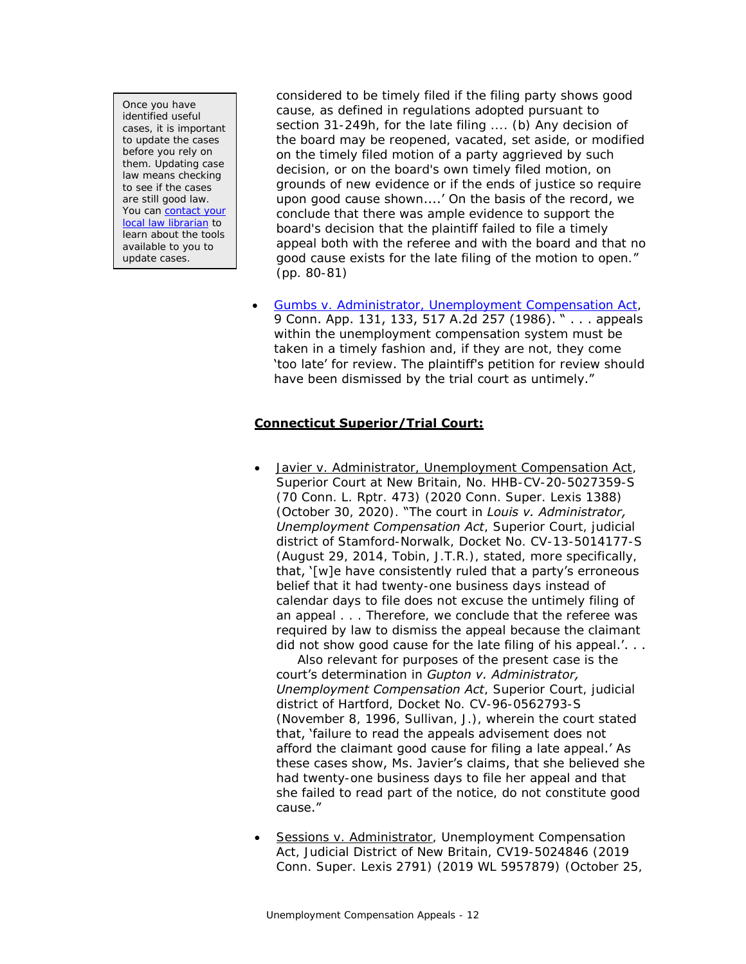Once you have identified useful cases, it is important to update the cases before you rely on them. Updating case law means checking to see if the cases are still good law. You can [contact your](https://www.jud.ct.gov/lawlib/staff.htm)  [local law librarian](https://www.jud.ct.gov/lawlib/staff.htm) to learn about the tools available to you to update cases.

considered to be timely filed if the filing party shows good cause, as defined in regulations adopted pursuant to section 31-249h, for the late filing .... (b) Any decision of the board may be reopened, vacated, set aside, or modified on the timely filed motion of a party aggrieved by such decision, or on the board's own timely filed motion, on grounds of new evidence or if the ends of justice so require upon good cause shown....' On the basis of the record, we conclude that there was ample evidence to support the board's decision that the plaintiff failed to file a timely appeal both with the referee and with the board and that no good cause exists for the late filing of the motion to open." (pp. 80-81)

 [Gumbs v. Administrator, Unemployment Compensation Act,](https://scholar.google.com/scholar_case?case=11424500692784463607) 9 Conn. App. 131, 133, 517 A.2d 257 (1986). " . . . appeals within the unemployment compensation system must be taken in a timely fashion and, if they are not, they come 'too late' for review. The plaintiff's petition for review should have been dismissed by the trial court as untimely."

### **Connecticut Superior/Trial Court:**

 Javier v. Administrator, Unemployment Compensation Act, Superior Court at New Britain, No. HHB-CV-20-5027359-S (70 Conn. L. Rptr. 473) (2020 Conn. Super. Lexis 1388) (October 30, 2020). "The court in *Louis v. Administrator, Unemployment Compensation Act*, Superior Court, judicial district of Stamford-Norwalk, Docket No. CV-13-5014177-S (August 29, 2014, Tobin, J.T.R.), stated, more specifically, that, '[w]e have consistently ruled that a party's erroneous belief that it had twenty-one business days instead of calendar days to file does not excuse the untimely filing of an appeal . . . Therefore, we conclude that the referee was required by law to dismiss the appeal because the claimant did not show good cause for the late filing of his appeal.'. . .

 Also relevant for purposes of the present case is the court's determination in *Gupton v. Administrator, Unemployment Compensation Act*, Superior Court, judicial district of Hartford, Docket No. CV-96-0562793-S (November 8, 1996, Sullivan, J.), wherein the court stated that, 'failure to read the appeals advisement does not afford the claimant good cause for filing a late appeal.' As these cases show, Ms. Javier's claims, that she believed she had twenty-one business days to file her appeal and that she failed to read part of the notice, do not constitute good cause."

 Sessions v. Administrator, Unemployment Compensation Act, Judicial District of New Britain, CV19-5024846 (2019 Conn. Super. Lexis 2791) (2019 WL 5957879) (October 25,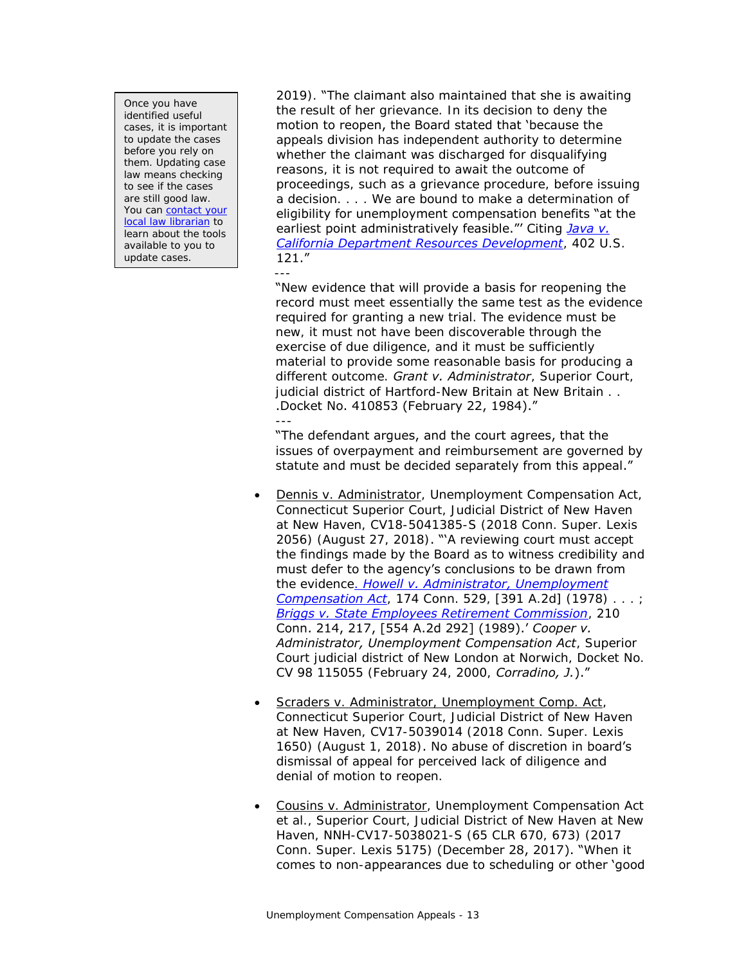Once you have identified useful cases, it is important to update the cases before you rely on them. Updating case law means checking to see if the cases are still good law. You can **contact** your [local law librarian](https://www.jud.ct.gov/lawlib/staff.htm) to learn about the tools available to you to update cases.

2019). "The claimant also maintained that she is awaiting the result of her grievance. In its decision to deny the motion to reopen, the Board stated that 'because the appeals division has independent authority to determine whether the claimant was discharged for disqualifying reasons, it is not required to await the outcome of proceedings, such as a grievance procedure, before issuing a decision. . . . We are bound to make a determination of eligibility for unemployment compensation benefits "at the earliest point administratively feasible."' Citing *[Java v.](https://scholar.google.com/scholar_case?case=17197447763704676646)  [California Department Resources Development](https://scholar.google.com/scholar_case?case=17197447763704676646)*, 402 U.S. 121." ---

"New evidence that will provide a basis for reopening the record must meet essentially the same test as the evidence required for granting a new trial. The evidence must be new, it must not have been discoverable through the exercise of due diligence, and it must be sufficiently material to provide some reasonable basis for producing a different outcome. *Grant v. Administrator*, Superior Court, judicial district of Hartford-New Britain at New Britain . . .Docket No. 410853 (February 22, 1984)." ---

"The defendant argues, and the court agrees, that the issues of overpayment and reimbursement are governed by statute and must be decided separately from this appeal."

- Dennis v. Administrator, Unemployment Compensation Act, Connecticut Superior Court, Judicial District of New Haven at New Haven, CV18-5041385-S (2018 Conn. Super. Lexis 2056) (August 27, 2018). "'A reviewing court must accept the findings made by the Board as to witness credibility and must defer to the agency's conclusions to be drawn from the evidence. *[Howell v. Administrator, Unemployment](https://scholar.google.com/scholar_case?case=10254994601704911550)  [Compensation Act](https://scholar.google.com/scholar_case?case=10254994601704911550)*, 174 Conn. 529, [391 A.2d] (1978) . . . ; *[Briggs v. State Employees Retirement Commission](https://scholar.google.com/scholar_case?case=16751863538163336290)*, 210 Conn. 214, 217, [554 A.2d 292] (1989).' *Cooper v. Administrator, Unemployment Compensation Act*, Superior Court judicial district of New London at Norwich, Docket No. CV 98 115055 (February 24, 2000, *Corradino, J.*)."
- **•** Scraders v. Administrator, Unemployment Comp. Act, Connecticut Superior Court, Judicial District of New Haven at New Haven, CV17-5039014 (2018 Conn. Super. Lexis 1650) (August 1, 2018). No abuse of discretion in board's dismissal of appeal for perceived lack of diligence and denial of motion to reopen.
- Cousins v. Administrator, Unemployment Compensation Act et al., Superior Court, Judicial District of New Haven at New Haven, NNH-CV17-5038021-S (65 CLR 670, 673) (2017 Conn. Super. Lexis 5175) (December 28, 2017). "When it comes to non-appearances due to scheduling or other 'good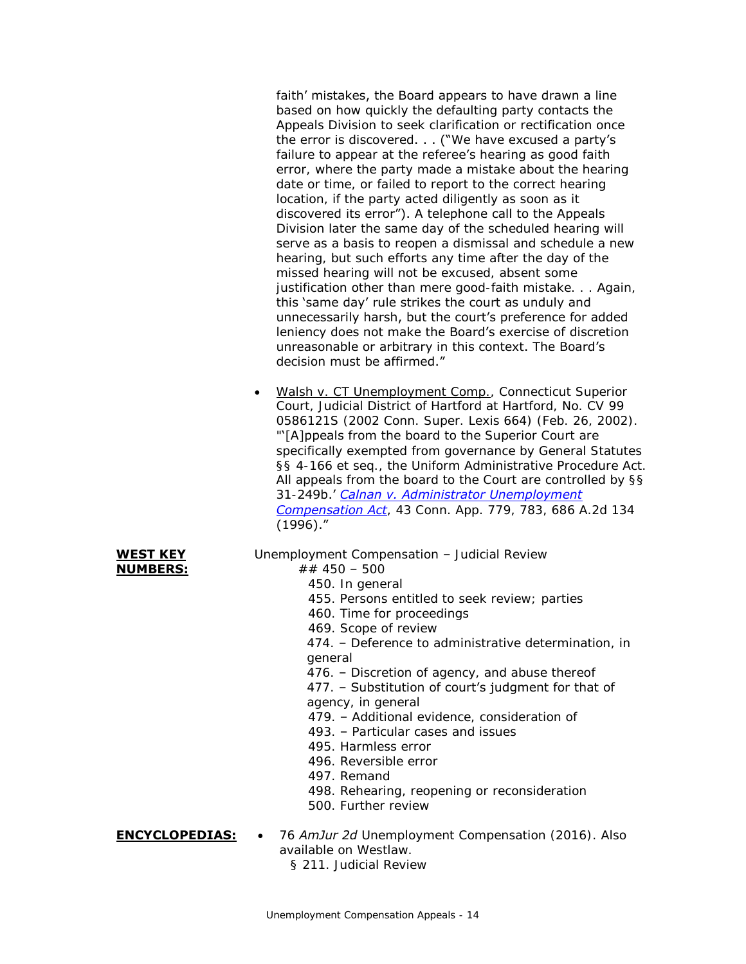faith' mistakes, the Board appears to have drawn a line based on how quickly the defaulting party contacts the Appeals Division to seek clarification or rectification once the error is discovered. . . ("We have excused a party's failure to appear at the referee's hearing as good faith error, where the party made a mistake about the hearing date or time, or failed to report to the correct hearing location, if the party acted diligently as soon as it discovered its error"). A telephone call to the Appeals Division later the same day of the scheduled hearing will serve as a basis to reopen a dismissal and schedule a new hearing, but such efforts any time after the day of the missed hearing will not be excused, absent some justification other than mere good-faith mistake. . . Again, this 'same day' rule strikes the court as unduly and unnecessarily harsh, but the court's preference for added leniency does not make the Board's exercise of discretion unreasonable or arbitrary in this context. The Board's decision must be affirmed."

• Walsh v. CT Unemployment Comp., Connecticut Superior Court, Judicial District of Hartford at Hartford, No. CV 99 0586121S (2002 Conn. Super. Lexis 664) (Feb. 26, 2002). "'[A]ppeals from the board to the Superior Court are specifically exempted from governance by General Statutes §§ 4-166 et seq., the Uniform Administrative Procedure Act. All appeals from the board to the Court are controlled by §§ 31-249b.' *[Calnan v. Administrator Unemployment](https://scholar.google.com/scholar_case?case=5635655257598766837)  [Compensation Act](https://scholar.google.com/scholar_case?case=5635655257598766837)*, 43 Conn. App. 779, 783, 686 A.2d 134 (1996)."

#### **WEST KEY NUMBERS:**

- Unemployment Compensation Judicial Review
	- ## 450 500
		- 450. In general
		- 455. Persons entitled to seek review; parties
		- 460. Time for proceedings
		- 469. Scope of review

474. – Deference to administrative determination, in general

- 476. Discretion of agency, and abuse thereof
- 477. Substitution of court's judgment for that of
- agency, in general
- 479. Additional evidence, consideration of
- 493. Particular cases and issues
- 495. Harmless error
- 496. Reversible error
- 497. Remand
- 498. Rehearing, reopening or reconsideration
- 500. Further review

**ENCYCLOPEDIAS:** . 76 *AmJur 2d* Unemployment Compensation (2016). Also available on Westlaw.

§ 211. Judicial Review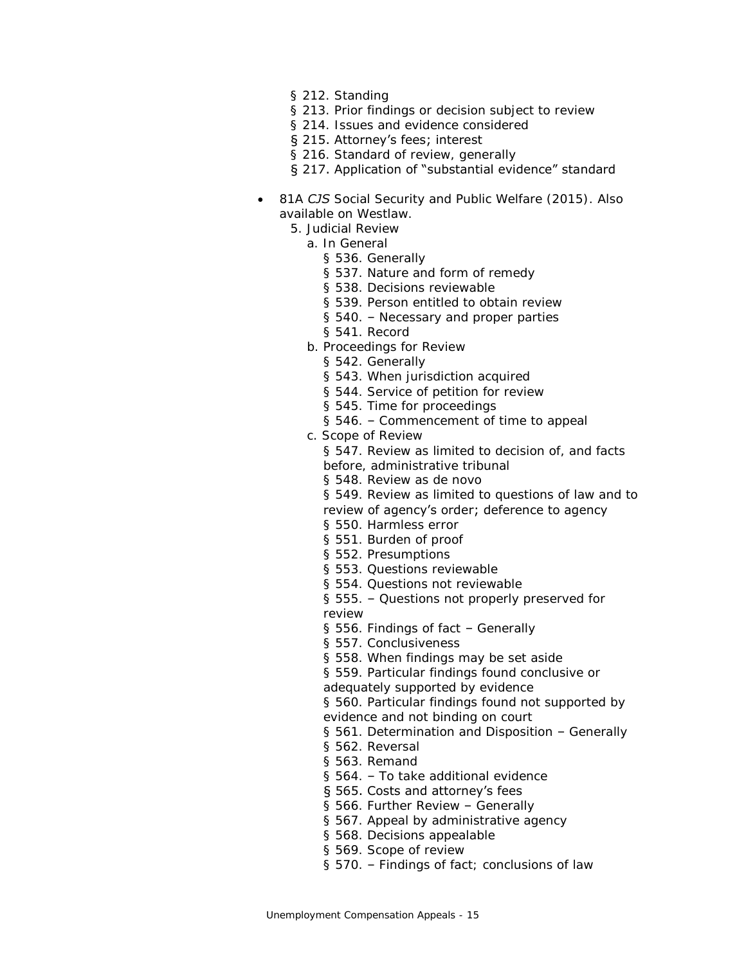- § 212. Standing
- § 213. Prior findings or decision subject to review
- § 214. Issues and evidence considered
- § 215. Attorney's fees; interest
- § 216. Standard of review, generally
- § 217. Application of "substantial evidence" standard
- 81A *CJS* Social Security and Public Welfare (2015). Also available on Westlaw.
	- 5. Judicial Review
		- a. In General
			- § 536. Generally
			- § 537. Nature and form of remedy
			- § 538. Decisions reviewable
			- § 539. Person entitled to obtain review
			- § 540. Necessary and proper parties
			- § 541. Record
		- b. Proceedings for Review
			- § 542. Generally
			- § 543. When jurisdiction acquired
			- § 544. Service of petition for review
			- § 545. Time for proceedings
			- § 546. Commencement of time to appeal
		- c. Scope of Review
			- § 547. Review as limited to decision of, and facts
			- before, administrative tribunal
			- § 548. Review as de novo
			- § 549. Review as limited to questions of law and to
			- review of agency's order; deference to agency
			- § 550. Harmless error
			- § 551. Burden of proof
			- § 552. Presumptions
			- § 553. Questions reviewable
			- § 554. Questions not reviewable
			- § 555. Questions not properly preserved for review
			- § 556. Findings of fact Generally
			- § 557. Conclusiveness
			- § 558. When findings may be set aside

§ 559. Particular findings found conclusive or adequately supported by evidence

§ 560. Particular findings found not supported by

- evidence and not binding on court
- § 561. Determination and Disposition Generally
- § 562. Reversal
- § 563. Remand
- § 564. To take additional evidence

#### § 565. Costs and attorney's fees

- § 566. Further Review Generally
- § 567. Appeal by administrative agency
- § 568. Decisions appealable
- § 569. Scope of review
- § 570. Findings of fact; conclusions of law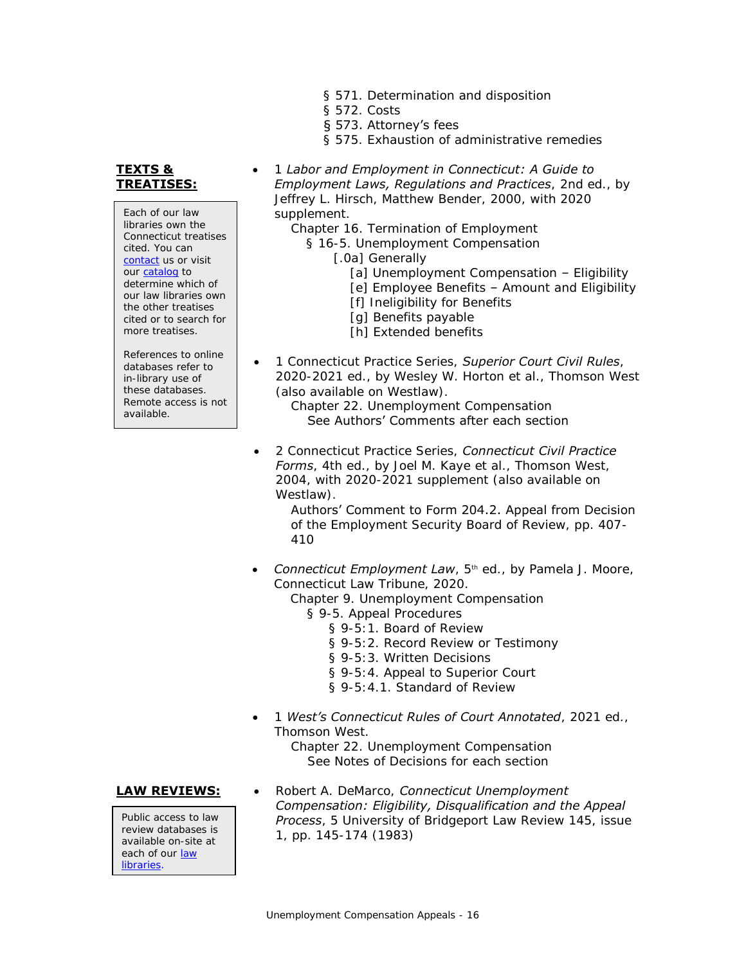§ 571. Determination and disposition

1 *Labor and Employment in Connecticut: A Guide to* 

Chapter 16. Termination of Employment § 16-5. Unemployment Compensation

§ 572. Costs

supplement.

§ 573. Attorney's fees

[.0a] Generally

§ 575. Exhaustion of administrative remedies

[a] Unemployment Compensation - Eligibility [e] Employee Benefits – Amount and Eligibility

*Employment Laws, Regulations and Practices*, 2nd ed., by Jeffrey L. Hirsch, Matthew Bender, 2000, with 2020

**TEXTS & TREATISES:**

Each of our law libraries own the Connecticut treatises cited. You can [contact](https://www.jud.ct.gov/lawlib/staff.htm) us or visit our [catalog](https://www.jud.ct.gov/lawlib/searchcatalog.html) to determine which of our law libraries own the other treatises cited or to search for more treatises.

References to online databases refer to in-library use of these databases. Remote access is not available.

[h] Extended benefits 1 Connecticut Practice Series, *Superior Court Civil Rules*, 2020-2021 ed., by Wesley W. Horton et al., Thomson West

(also available on Westlaw). Chapter 22. Unemployment Compensation See Authors' Comments after each section

[f] Ineligibility for Benefits [g] Benefits payable

 2 Connecticut Practice Series, *Connecticut Civil Practice Forms*, 4th ed., by Joel M. Kaye et al., Thomson West, 2004, with 2020-2021 supplement (also available on Westlaw).

> Authors' Comment to Form 204.2. Appeal from Decision of the Employment Security Board of Review, pp. 407- 410

- **Connecticut Employment Law**, 5<sup>th</sup> ed., by Pamela J. Moore, Connecticut Law Tribune, 2020.
	- Chapter 9. Unemployment Compensation
		- § 9-5. Appeal Procedures
			- § 9-5:1. Board of Review
			- § 9-5:2. Record Review or Testimony
			- § 9-5:3. Written Decisions
			- § 9-5:4. Appeal to Superior Court
			- § 9-5:4.1. Standard of Review
- 1 *West's Connecticut Rules of Court Annotated*, 2021 ed., Thomson West.

Chapter 22. Unemployment Compensation See Notes of Decisions for each section

Public access to law review databases is available on-site at each of our [law](https://www.jud.ct.gov/lawlib/staff.htm)  [libraries.](https://www.jud.ct.gov/lawlib/staff.htm)

**LAW REVIEWS:** . Robert A. DeMarco, *Connecticut Unemployment Compensation: Eligibility, Disqualification and the Appeal Process*, 5 University of Bridgeport Law Review 145, issue 1, pp. 145-174 (1983)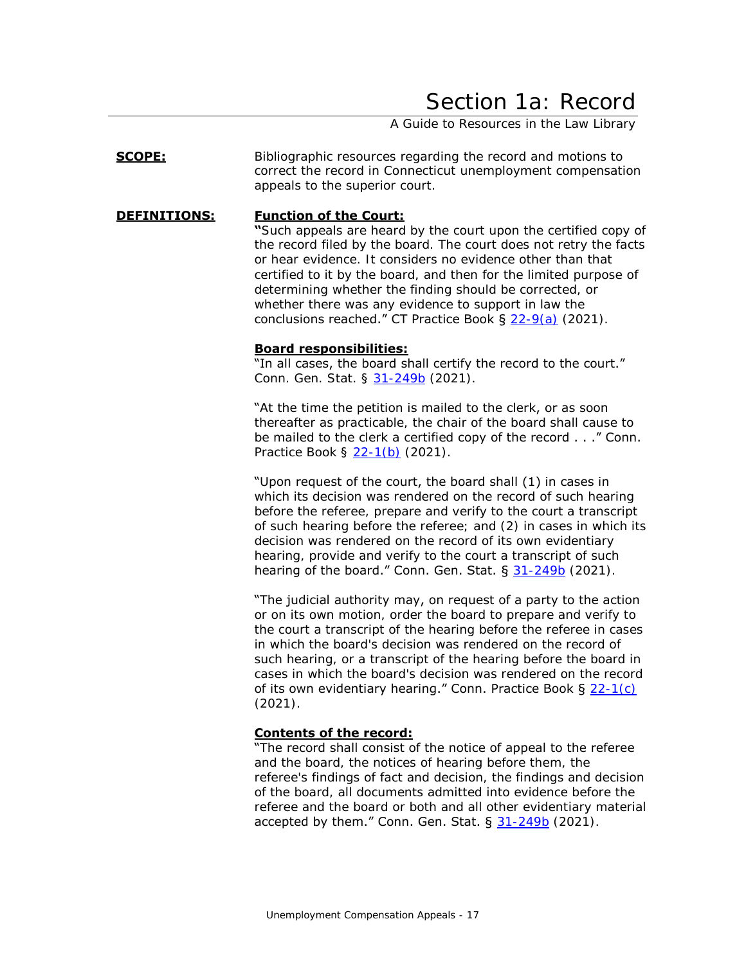## Section 1a: Record

A Guide to Resources in the Law Library

<span id="page-16-0"></span>**SCOPE:** Bibliographic resources regarding the record and motions to correct the record in Connecticut unemployment compensation appeals to the superior court.

#### **DEFINITIONS: Function of the Court:**

**"**Such appeals are heard by the court upon the certified copy of the record filed by the board. The court does not retry the facts or hear evidence. It considers no evidence other than that certified to it by the board, and then for the limited purpose of determining whether the finding should be corrected, or whether there was any evidence to support in law the conclusions reached." CT Practice Book § [22-9\(a\)](https://www.jud.ct.gov/Publications/PracticeBook/PB.pdf#page=279) (2021).

#### **Board responsibilities:**

"In all cases, the board shall certify the record to the court." Conn. Gen. Stat. § [31-249b](https://www.cga.ct.gov/current/pub/chap_567.htm#sec_31-249b) (2021).

"At the time the petition is mailed to the clerk, or as soon thereafter as practicable, the chair of the board shall cause to be mailed to the clerk a certified copy of the record . . ." Conn. Practice Book § [22-1\(b\)](https://www.jud.ct.gov/Publications/PracticeBook/PB.pdf#page=278) (2021).

"Upon request of the court, the board shall (1) in cases in which its decision was rendered on the record of such hearing before the referee, prepare and verify to the court a transcript of such hearing before the referee; and (2) in cases in which its decision was rendered on the record of its own evidentiary hearing, provide and verify to the court a transcript of such hearing of the board." Conn. Gen. Stat. § [31-249b](https://www.cga.ct.gov/current/pub/chap_567.htm#sec_31-249b) (2021).

"The judicial authority may, on request of a party to the action or on its own motion, order the board to prepare and verify to the court a transcript of the hearing before the referee in cases in which the board's decision was rendered on the record of such hearing, or a transcript of the hearing before the board in cases in which the board's decision was rendered on the record of its own evidentiary hearing." Conn. Practice Book  $\S 22-1(c)$  $\S 22-1(c)$ (2021).

### **Contents of the record:**

"The record shall consist of the notice of appeal to the referee and the board, the notices of hearing before them, the referee's findings of fact and decision, the findings and decision of the board, all documents admitted into evidence before the referee and the board or both and all other evidentiary material accepted by them." Conn. Gen. Stat.  $\S$  [31-249b](https://www.cga.ct.gov/current/pub/chap_567.htm#sec_31-249b) (2021).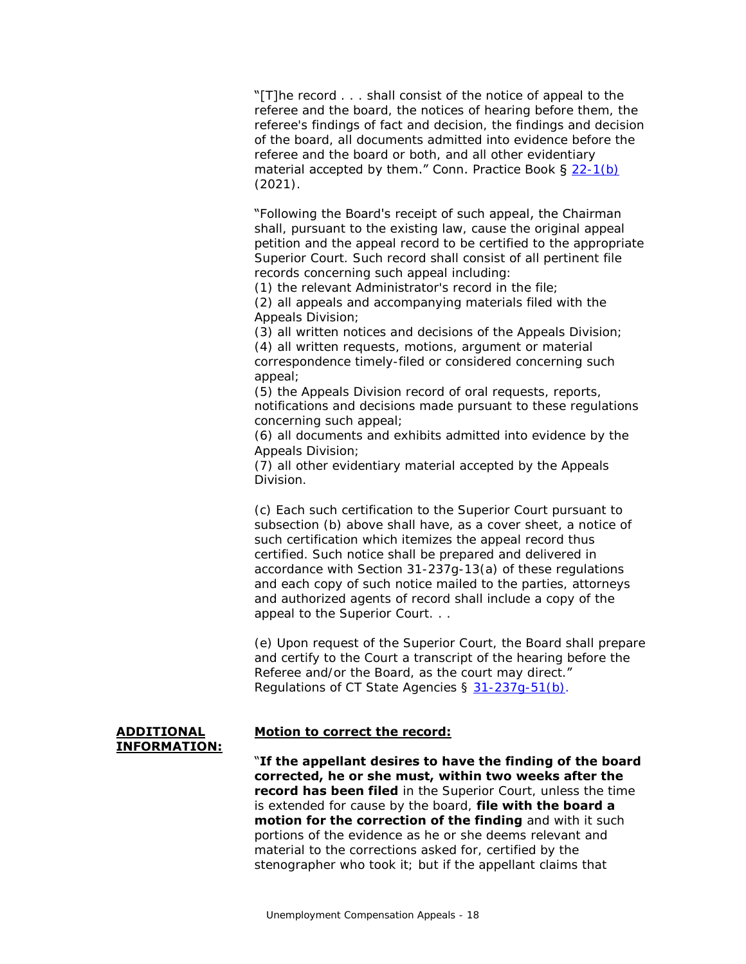"[T]he record . . . shall consist of the notice of appeal to the referee and the board, the notices of hearing before them, the referee's findings of fact and decision, the findings and decision of the board, all documents admitted into evidence before the referee and the board or both, and all other evidentiary material accepted by them." Conn. Practice Book § [22-1\(b\)](https://www.jud.ct.gov/Publications/PracticeBook/PB.pdf#page=278) (2021).

"Following the Board's receipt of such appeal, the Chairman

shall, pursuant to the existing law, cause the original appeal petition and the appeal record to be certified to the appropriate Superior Court. Such record shall consist of all pertinent file records concerning such appeal including:

(1) the relevant Administrator's record in the file;

(2) all appeals and accompanying materials filed with the Appeals Division;

(3) all written notices and decisions of the Appeals Division;

(4) all written requests, motions, argument or material correspondence timely-filed or considered concerning such appeal;

(5) the Appeals Division record of oral requests, reports, notifications and decisions made pursuant to these regulations concerning such appeal;

(6) all documents and exhibits admitted into evidence by the Appeals Division;

(7) all other evidentiary material accepted by the Appeals Division.

(c) Each such certification to the Superior Court pursuant to subsection (b) above shall have, as a cover sheet, a notice of such certification which itemizes the appeal record thus certified. Such notice shall be prepared and delivered in accordance with Section 31-237g-13(a) of these regulations and each copy of such notice mailed to the parties, attorneys and authorized agents of record shall include a copy of the appeal to the Superior Court. . .

(e) Upon request of the Superior Court, the Board shall prepare and certify to the Court a transcript of the hearing before the Referee and/or the Board, as the court may direct." Regulations of CT State Agencies § [31-237g-51\(b\).](https://eregulations.ct.gov/eRegsPortal/Browse/RCSA/Title_31Subtitle_31-237gSection_31-237g-51/)

#### **ADDITIONAL INFORMATION:**

### **Motion to correct the record:**

"**If the appellant desires to have the finding of the board corrected, he or she must, within two weeks after the record has been filed** in the Superior Court, unless the time is extended for cause by the board, **file with the board a motion for the correction of the finding** and with it such portions of the evidence as he or she deems relevant and material to the corrections asked for, certified by the stenographer who took it; but if the appellant claims that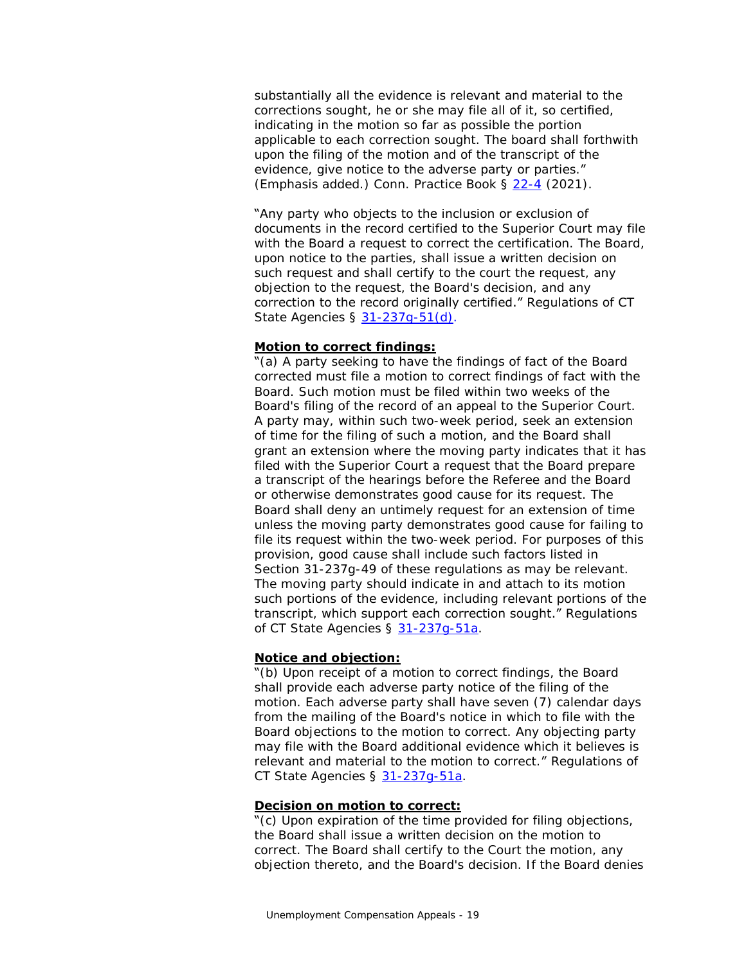substantially all the evidence is relevant and material to the corrections sought, he or she may file all of it, so certified, indicating in the motion so far as possible the portion applicable to each correction sought. The board shall forthwith upon the filing of the motion and of the transcript of the evidence, give notice to the adverse party or parties." (Emphasis added.) Conn. Practice Book § [22-4](https://www.jud.ct.gov/Publications/PracticeBook/PB.pdf#page=278) (2021).

#### "Any party who objects to the inclusion or exclusion of

documents in the record certified to the Superior Court may file with the Board a request to correct the certification. The Board, upon notice to the parties, shall issue a written decision on such request and shall certify to the court the request, any objection to the request, the Board's decision, and any correction to the record originally certified." Regulations of CT State Agencies § 31-237q-51(d).

#### **Motion to correct findings:**

"(a) A party seeking to have the findings of fact of the Board corrected must file a motion to correct findings of fact with the Board. Such motion must be filed within two weeks of the Board's filing of the record of an appeal to the Superior Court. A party may, within such two-week period, seek an extension of time for the filing of such a motion, and the Board shall grant an extension where the moving party indicates that it has filed with the Superior Court a request that the Board prepare a transcript of the hearings before the Referee and the Board or otherwise demonstrates good cause for its request. The Board shall deny an untimely request for an extension of time unless the moving party demonstrates good cause for failing to file its request within the two-week period. For purposes of this provision, good cause shall include such factors listed in Section 31-237g-49 of these regulations as may be relevant. The moving party should indicate in and attach to its motion such portions of the evidence, including relevant portions of the transcript, which support each correction sought." Regulations of CT State Agencies § 31-237q-51a.

#### **Notice and objection:**

"(b) Upon receipt of a motion to correct findings, the Board shall provide each adverse party notice of the filing of the motion. Each adverse party shall have seven (7) calendar days from the mailing of the Board's notice in which to file with the Board objections to the motion to correct. Any objecting party may file with the Board additional evidence which it believes is relevant and material to the motion to correct." Regulations of CT State Agencies § 31-237q-51a.

#### **Decision on motion to correct:**

"(c) Upon expiration of the time provided for filing objections, the Board shall issue a written decision on the motion to correct. The Board shall certify to the Court the motion, any objection thereto, and the Board's decision. If the Board denies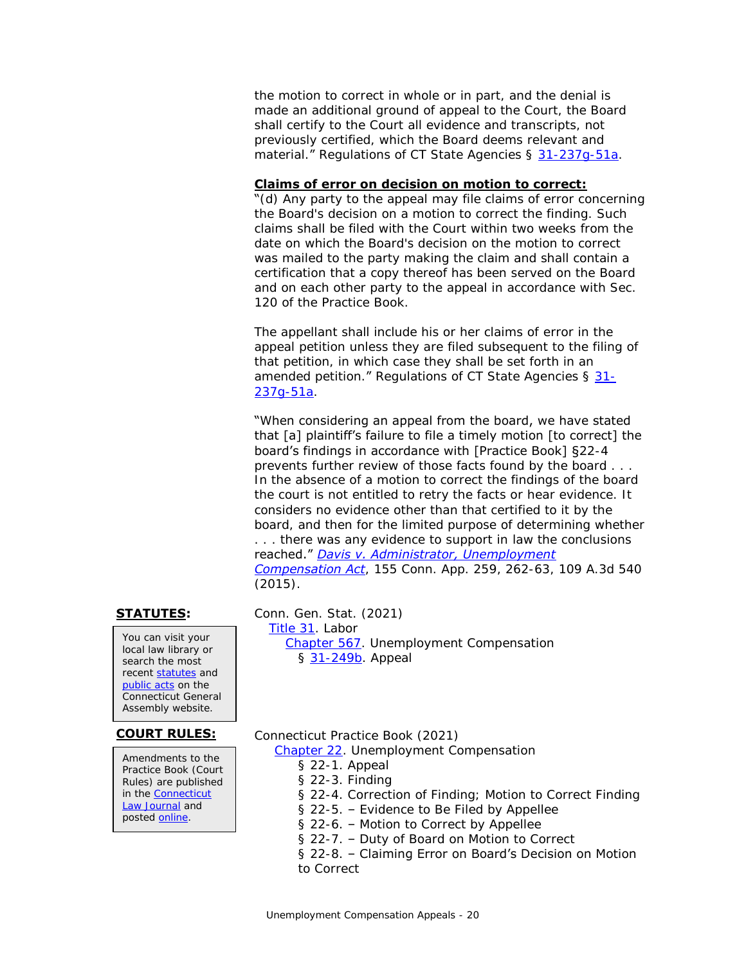the motion to correct in whole or in part, and the denial is made an additional ground of appeal to the Court, the Board shall certify to the Court all evidence and transcripts, not previously certified, which the Board deems relevant and material." Regulations of CT State Agencies § [31-237g-51a.](https://eregulations.ct.gov/eRegsPortal/Browse/RCSA/Title_31Subtitle_31-237gSection_31-237g-51a/)

### **Claims of error on decision on motion to correct:**

"(d) Any party to the appeal may file claims of error concerning the Board's decision on a motion to correct the finding. Such claims shall be filed with the Court within two weeks from the date on which the Board's decision on the motion to correct was mailed to the party making the claim and shall contain a certification that a copy thereof has been served on the Board and on each other party to the appeal in accordance with Sec. 120 of the Practice Book.

The appellant shall include his or her claims of error in the appeal petition unless they are filed subsequent to the filing of that petition, in which case they shall be set forth in an amended petition." Regulations of CT State Agencies § [31-](https://eregulations.ct.gov/eRegsPortal/Browse/RCSA/Title_31Subtitle_31-237gSection_31-237g-51a/) [237g-51a.](https://eregulations.ct.gov/eRegsPortal/Browse/RCSA/Title_31Subtitle_31-237gSection_31-237g-51a/)

"When considering an appeal from the board, we have stated that [a] plaintiff's failure to file a timely motion [to correct] the board's findings in accordance with [Practice Book] §22-4 prevents further review of those facts found by the board . . . In the absence of a motion to correct the findings of the board the court is not entitled to retry the facts or hear evidence. It considers no evidence other than that certified to it by the board, and then for the limited purpose of determining whether

. . . there was any evidence to support in law the conclusions reached." *Davis [v. Administrator, Unemployment](https://scholar.google.com/scholar_case?case=6064580640916321369)  [Compensation Act](https://scholar.google.com/scholar_case?case=6064580640916321369)*, 155 Conn. App. 259, 262-63, 109 A.3d 540 (2015).

You can visit your local law library or search the most recent [statutes](https://search.cga.state.ct.us/r/statute/) and [public acts](https://search.cga.state.ct.us/r/adv/dtsearch_form.asp) on the Connecticut General Assembly website.

Amendments to the Practice Book (Court Rules) are published in the [Connecticut](https://jud.ct.gov/lawjournal/)  [Law Journal](https://jud.ct.gov/lawjournal/) and posted [online.](https://www.jud.ct.gov/pb.htm)

**STATUTES:** Conn. Gen. Stat. (2021)

[Title 31.](https://www.cga.ct.gov/current/pub/title_31.htm) Labor [Chapter 567.](https://www.cga.ct.gov/current/pub/chap_567.htm) Unemployment Compensation § [31-249b.](https://www.cga.ct.gov/current/pub/chap_567.htm#sec_31-249b) Appeal

**COURT RULES:** Connecticut Practice Book (2021)

[Chapter 22.](https://www.jud.ct.gov/Publications/PracticeBook/PB.pdf#page=278) Unemployment Compensation

- § 22-1. Appeal
- § 22-3. Finding
- § 22-4. Correction of Finding; Motion to Correct Finding
- § 22-5. Evidence to Be Filed by Appellee
- § 22-6. Motion to Correct by Appellee
- § 22-7. Duty of Board on Motion to Correct

§ 22-8. – Claiming Error on Board's Decision on Motion to Correct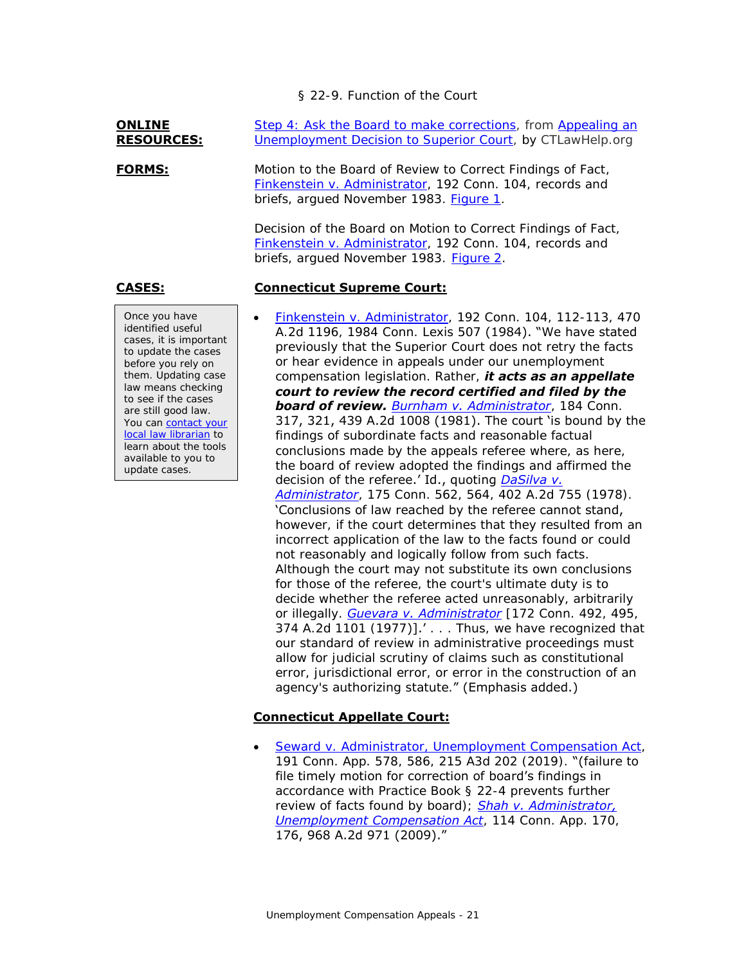§ 22-9. Function of the Court

#### **ONLINE RESOURCES:**

Once you have identified useful cases, it is important to update the cases before you rely on them. Updating case law means checking to see if the cases are still good law. You can contact your [local law librarian](https://www.jud.ct.gov/lawlib/staff.htm) to learn about the tools available to you to update cases.

[Step 4: Ask the Board to make corrections,](https://ctlawhelp.org/en/node/466?s=6) from [Appealing an](https://ctlawhelp.org/en/node/466)  [Unemployment Decision to Superior Court,](https://ctlawhelp.org/en/node/466) by CTLawHelp.org

**FORMS:** Motion to the Board of Review to Correct Findings of Fact, [Finkenstein v. Administrator,](https://scholar.google.com/scholar_case?case=17716164974626879685) 192 Conn. 104, records and briefs, argued November 1983. [Figure 1.](#page-25-0)

> Decision of the Board on Motion to Correct Findings of Fact, [Finkenstein v. Administrator,](https://scholar.google.com/scholar_case?case=17716164974626879685) 192 Conn. 104, records and briefs, argued November 1983. [Figure 2.](#page-26-0)

### **CASES: Connecticut Supreme Court:**

 [Finkenstein v. Administrator,](https://scholar.google.com/scholar_case?case=17716164974626879685) 192 Conn. 104, 112-113, 470 A.2d 1196, 1984 Conn. Lexis 507 (1984). "We have stated previously that the Superior Court does not retry the facts or hear evidence in appeals under our unemployment compensation legislation. Rather, *it acts as an appellate court to review the record certified and filed by the board of review. [Burnham v. Administrator](https://scholar.google.com/scholar_case?case=10323498003365692465)*, 184 Conn. 317, 321, 439 A.2d 1008 (1981). The court 'is bound by the findings of subordinate facts and reasonable factual conclusions made by the appeals referee where, as here, the board of review adopted the findings and affirmed the decision of the referee.' Id., quoting *[DaSilva v.](https://scholar.google.com/scholar_case?case=14797611728656982485)  [Administrator](https://scholar.google.com/scholar_case?case=14797611728656982485)*, 175 Conn. 562, 564, 402 A.2d 755 (1978). 'Conclusions of law reached by the referee cannot stand, however, if the court determines that they resulted from an incorrect application of the law to the facts found or could not reasonably and logically follow from such facts. Although the court may not substitute its own conclusions for those of the referee, the court's ultimate duty is to decide whether the referee acted unreasonably, arbitrarily or illegally. *[Guevara v. Administrator](https://scholar.google.com/scholar_case?case=15812524433818120249)* [172 Conn. 492, 495, 374 A.2d 1101 (1977)].' . . . Thus, we have recognized that our standard of review in administrative proceedings must allow for judicial scrutiny of claims such as constitutional error, jurisdictional error, or error in the construction of an agency's authorizing statute." (Emphasis added.)

### **Connecticut Appellate Court:**

• [Seward v. Administrator, Unemployment Compensation Act,](https://scholar.google.com/scholar_case?case=6474200747221317108) 191 Conn. App. 578, 586, 215 A3d 202 (2019). "(failure to file timely motion for correction of board's findings in accordance with Practice Book § 22-4 prevents further review of facts found by board); *[Shah v. Administrator,](https://scholar.google.com/scholar_case?case=7077643913201229042)  [Unemployment Compensation Act](https://scholar.google.com/scholar_case?case=7077643913201229042)*, 114 Conn. App. 170, 176, 968 A.2d 971 (2009)."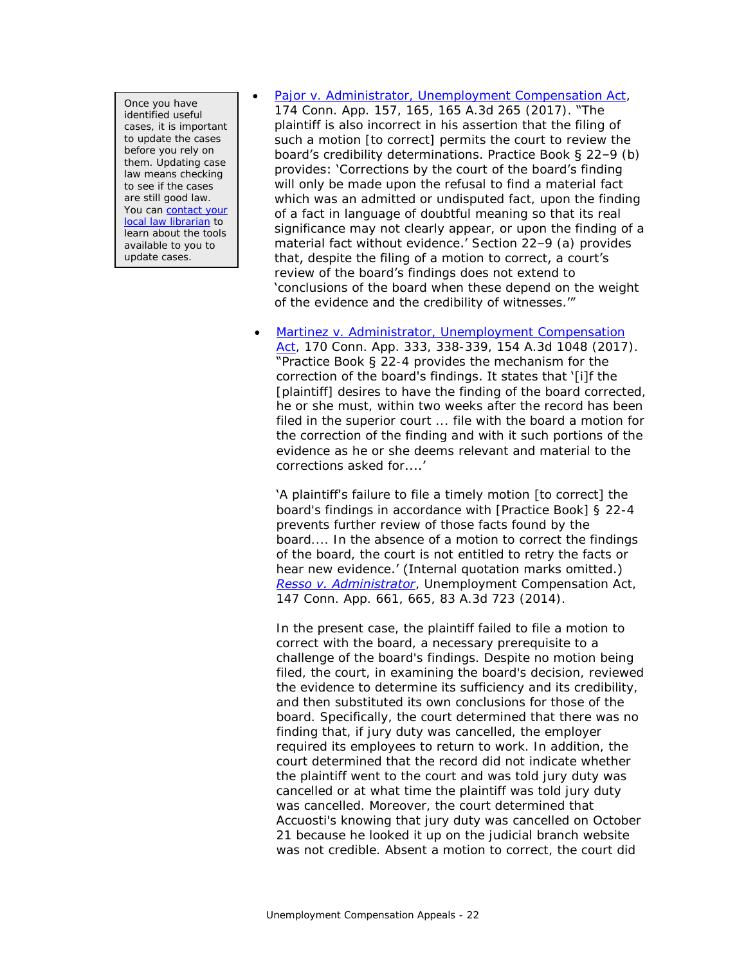Once you have identified useful cases, it is important to update the cases before you rely on them. Updating case law means checking to see if the cases are still good law. You can contact your [local law librarian](https://www.jud.ct.gov/lawlib/staff.htm) to learn about the tools available to you to update cases.

[Pajor v. Administrator, Unemployment Compensation Act,](https://scholar.google.com/scholar_case?case=16070324087110718984)

174 Conn. App. 157, 165, 165 A.3d 265 (2017). "The plaintiff is also incorrect in his assertion that the filing of such a motion [to correct] permits the court to review the board's credibility determinations. Practice Book § 22–9 (b) provides: 'Corrections by the court of the board's finding will only be made upon the refusal to find a material fact which was an admitted or undisputed fact, upon the finding of a fact in language of doubtful meaning so that its real significance may not clearly appear, or upon the finding of a material fact without evidence.' Section 22–9 (a) provides that, despite the filing of a motion to correct, a court's review of the board's findings does not extend to 'conclusions of the board when these depend on the weight of the evidence and the credibility of witnesses.'"

• Martinez v. Administrator, Unemployment Compensation [Act,](https://scholar.google.com/scholar_case?case=8698784330125960020) 170 Conn. App. 333, 338-339, 154 A.3d 1048 (2017). "Practice Book § 22-4 provides the mechanism for the correction of the board's findings. It states that '[i]f the [plaintiff] desires to have the finding of the board corrected, he or she must, within two weeks after the record has been filed in the superior court ... file with the board a motion for the correction of the finding and with it such portions of the evidence as he or she deems relevant and material to the corrections asked for....'

'A plaintiff's failure to file a timely motion [to correct] the board's findings in accordance with [Practice Book] § 22-4 prevents further review of those facts found by the board.... In the absence of a motion to correct the findings of the board, the court is not entitled to retry the facts or hear new evidence.' (Internal quotation marks omitted.) *[Resso v. Administrator](https://scholar.google.com/scholar_case?case=8655901991218796277)*, Unemployment Compensation Act, 147 Conn. App. 661, 665, 83 A.3d 723 (2014).

In the present case, the plaintiff failed to file a motion to correct with the board, a necessary prerequisite to a challenge of the board's findings. Despite no motion being filed, the court, in examining the board's decision, reviewed the evidence to determine its sufficiency and its credibility, and then substituted its own conclusions for those of the board. Specifically, the court determined that there was no finding that, if jury duty was cancelled, the employer required its employees to return to work. In addition, the court determined that the record did not indicate whether the plaintiff went to the court and was told jury duty was cancelled or at what time the plaintiff was told jury duty was cancelled. Moreover, the court determined that Accuosti's knowing that jury duty was cancelled on October 21 because he looked it up on the judicial branch website was not credible. Absent a motion to correct, the court did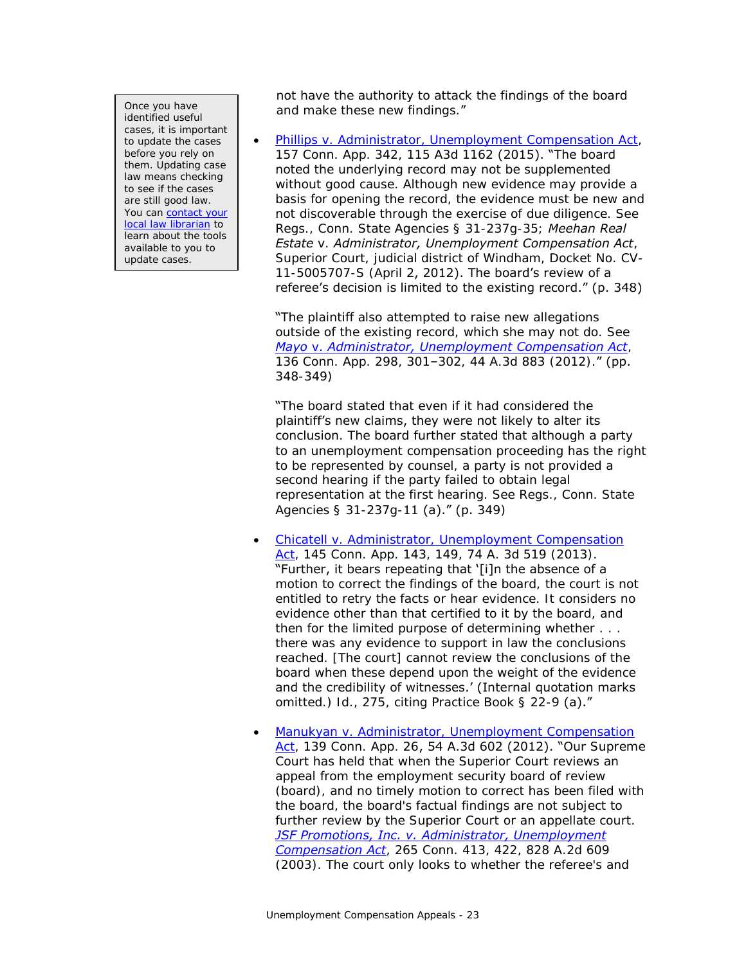Once you have identified useful cases, it is important to update the cases before you rely on them. Updating case law means checking to see if the cases are still good law. You can contact your [local law librarian](https://www.jud.ct.gov/lawlib/staff.htm) to learn about the tools available to you to update cases.

not have the authority to attack the findings of the board and make these new findings."

 [Phillips v. Administrator, Unemployment Compensation Act,](https://scholar.google.com/scholar_case?case=12160900474419414886) 157 Conn. App. 342, 115 A3d 1162 (2015). "The board noted the underlying record may not be supplemented without good cause. Although new evidence may provide a basis for opening the record, the evidence must be new and not discoverable through the exercise of due diligence. See Regs., Conn. State Agencies § 31-237g-35; *Meehan Real Estate* v. *Administrator, Unemployment Compensation Act*, Superior Court, judicial district of Windham, Docket No. CV-11-5005707-S (April 2, 2012). The board's review of a referee's decision is limited to the existing record." (p. 348)

"The plaintiff also attempted to raise new allegations outside of the existing record, which she may not do. See *Mayo* v. *[Administrator, Unemployment Compensation Act](https://scholar.google.com/scholar_case?case=1888492195560504605)*, 136 Conn. App. 298, 301–302, 44 A.3d 883 (2012)." (pp. 348-349)

"The board stated that even if it had considered the plaintiff's new claims, they were not likely to alter its conclusion. The board further stated that although a party to an unemployment compensation proceeding has the right to be represented by counsel, a party is not provided a second hearing if the party failed to obtain legal representation at the first hearing. See Regs., Conn. State Agencies § 31-237g-11 (a)." (p. 349)

- Chicatell v. Administrator, Unemployment Compensation [Act,](https://scholar.google.com/scholar_case?case=6894887016689582239) 145 Conn. App. 143, 149, 74 A. 3d 519 (2013). "Further, it bears repeating that '[i]n the absence of a motion to correct the findings of the board, the court is not entitled to retry the facts or hear evidence. It considers no evidence other than that certified to it by the board, and then for the limited purpose of determining whether . . . there was any evidence to support in law the conclusions reached. [The court] cannot review the conclusions of the board when these depend upon the weight of the evidence and the credibility of witnesses.' (Internal quotation marks omitted.) Id., 275, citing Practice Book § 22-9 (a)."
- [Manukyan v. Administrator, Unemployment Compensation](https://scholar.google.com/scholar_case?case=17590621152325959132)  [Act,](https://scholar.google.com/scholar_case?case=17590621152325959132) 139 Conn. App. 26, 54 A.3d 602 (2012). "Our Supreme Court has held that when the Superior Court reviews an appeal from the employment security board of review (board), and no timely motion to correct has been filed with the board, the board's factual findings are not subject to further review by the Superior Court or an appellate court. *[JSF Promotions, Inc. v. Administrator, Unemployment](https://scholar.google.com/scholar_case?case=14182612149453531095)  [Compensation Act](https://scholar.google.com/scholar_case?case=14182612149453531095)*, 265 Conn. 413, 422, 828 A.2d 609 (2003). The court only looks to whether the referee's and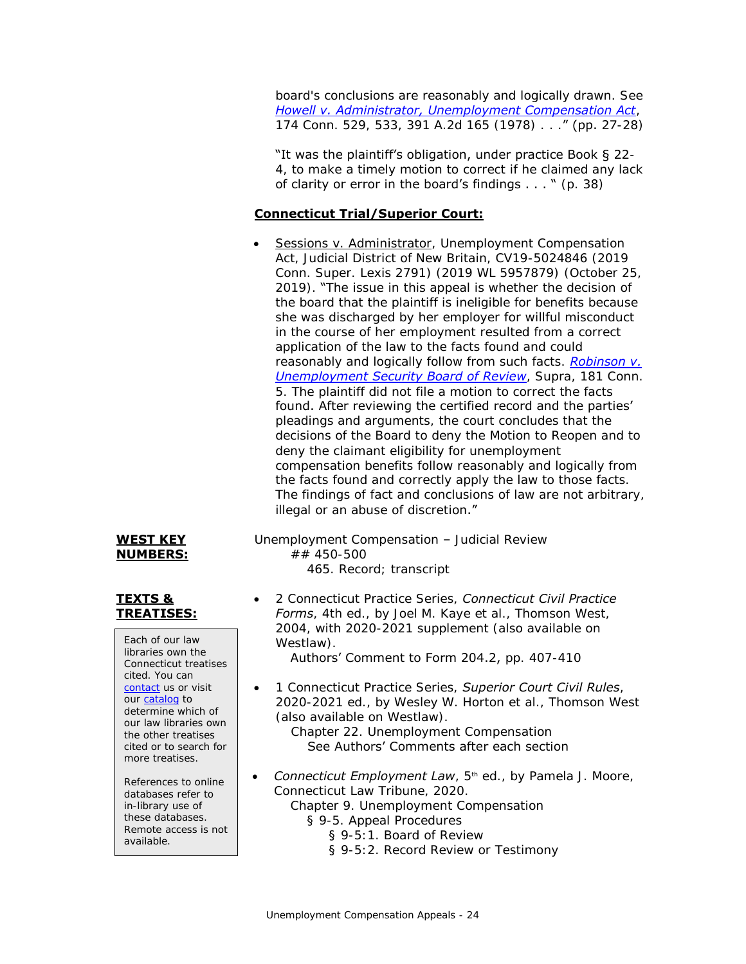board's conclusions are reasonably and logically drawn. See *[Howell v. Administrator, Unemployment Compensation Act](https://scholar.google.com/scholar_case?case=10254994601704911550)*, 174 Conn. 529, 533, 391 A.2d 165 (1978) . . ." (pp. 27-28)

"It was the plaintiff's obligation, under practice Book § 22- 4, to make a timely motion to correct if he claimed any lack of clarity or error in the board's findings  $\dots$  " (p. 38)

### **Connecticut Trial/Superior Court:**

• Sessions v. Administrator, Unemployment Compensation Act, Judicial District of New Britain, CV19-5024846 (2019 Conn. Super. Lexis 2791) (2019 WL 5957879) (October 25, 2019). "The issue in this appeal is whether the decision of the board that the plaintiff is ineligible for benefits because she was discharged by her employer for willful misconduct in the course of her employment resulted from a correct application of the law to the facts found and could reasonably and logically follow from such facts. *[Robinson v.](https://scholar.google.com/scholar_case?case=3748006908623281524)  [Unemployment Security Board of Review](https://scholar.google.com/scholar_case?case=3748006908623281524)*, Supra, 181 Conn. 5. The plaintiff did not file a motion to correct the facts found. After reviewing the certified record and the parties' pleadings and arguments, the court concludes that the decisions of the Board to deny the Motion to Reopen and to deny the claimant eligibility for unemployment compensation benefits follow reasonably and logically from the facts found and correctly apply the law to those facts. The findings of fact and conclusions of law are not arbitrary, illegal or an abuse of discretion."

**WEST KEY** 

Unemployment Compensation – Judicial Review ## 450-500 465. Record; transcript

 2 Connecticut Practice Series, *Connecticut Civil Practice Forms*, 4th ed., by Joel M. Kaye et al., Thomson West, 2004, with 2020-2021 supplement (also available on Westlaw).

Authors' Comment to Form 204.2, pp. 407-410

- 1 Connecticut Practice Series, *Superior Court Civil Rules*, 2020-2021 ed., by Wesley W. Horton et al., Thomson West (also available on Westlaw). Chapter 22. Unemployment Compensation See Authors' Comments after each section
- **Connecticut Employment Law**, 5<sup>th</sup> ed., by Pamela J. Moore, Connecticut Law Tribune, 2020. Chapter 9. Unemployment Compensation
	- § 9-5. Appeal Procedures
		- § 9-5:1. Board of Review
		- § 9-5:2. Record Review or Testimony

# **NUMBERS:**

### **TEXTS & TREATISES:**

Each of our law libraries own the Connecticut treatises cited. You can [contact](https://www.jud.ct.gov/lawlib/staff.htm) us or visit our [catalog](https://www.jud.ct.gov/lawlib/searchcatalog.html) to determine which of our law libraries own the other treatises cited or to search for more treatises.

References to online databases refer to in-library use of these databases. Remote access is not available.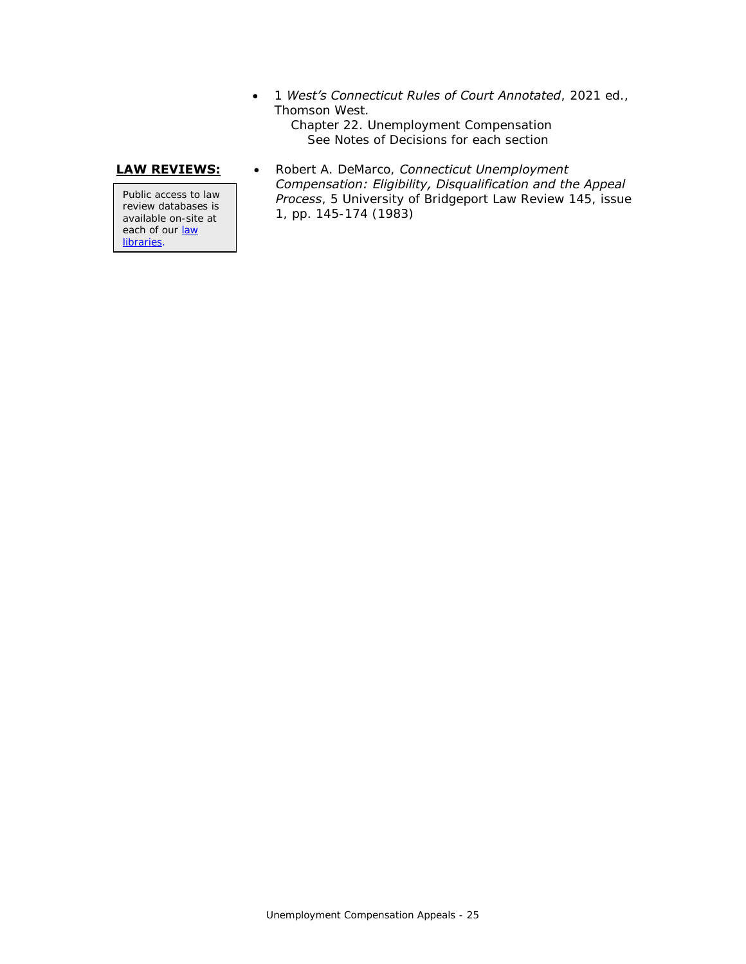1 *West's Connecticut Rules of Court Annotated*, 2021 ed., Thomson West. Chapter 22. Unemployment Compensation

See Notes of Decisions for each section

Public access to law review databases is available on-site at each of our law [libraries.](https://www.jud.ct.gov/lawlib/staff.htm)

**LAW REVIEWS:** . Robert A. DeMarco, *Connecticut Unemployment Compensation: Eligibility, Disqualification and the Appeal Process*, 5 University of Bridgeport Law Review 145, issue 1, pp. 145-174 (1983)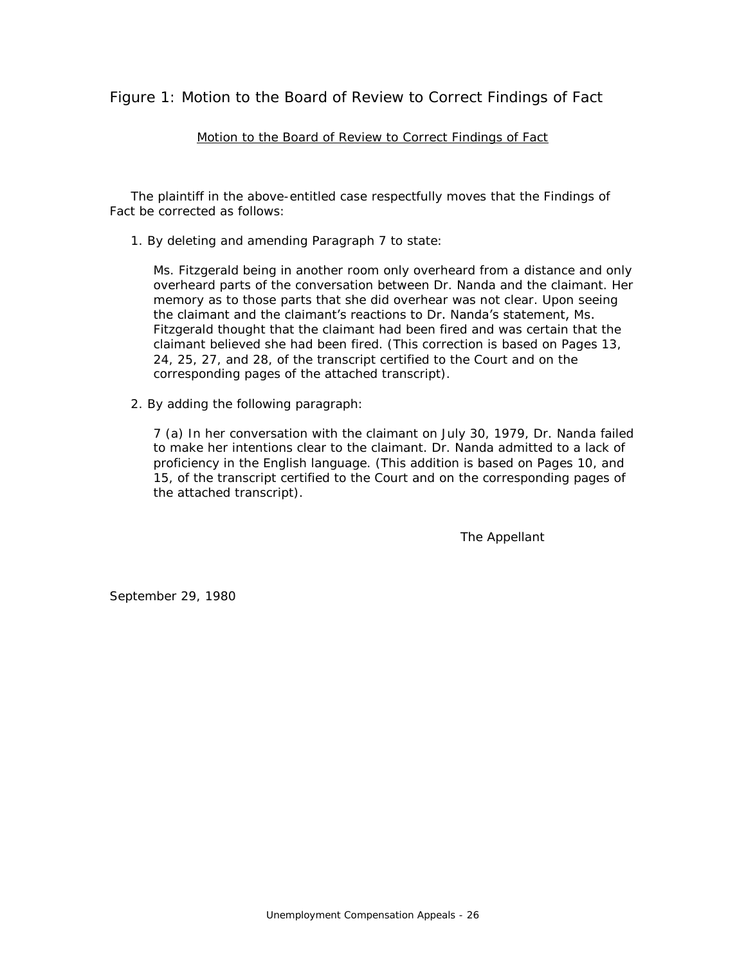<span id="page-25-0"></span>Figure 1: Motion to the Board of Review to Correct Findings of Fact

### Motion to the Board of Review to Correct Findings of Fact

 The plaintiff in the above-entitled case respectfully moves that the Findings of Fact be corrected as follows:

1. By deleting and amending Paragraph 7 to state:

Ms. Fitzgerald being in another room only overheard from a distance and only overheard parts of the conversation between Dr. Nanda and the claimant. Her memory as to those parts that she did overhear was not clear. Upon seeing the claimant and the claimant's reactions to Dr. Nanda's statement, Ms. Fitzgerald thought that the claimant had been fired and was certain that the claimant believed she had been fired. (This correction is based on Pages 13, 24, 25, 27, and 28, of the transcript certified to the Court and on the corresponding pages of the attached transcript).

2. By adding the following paragraph:

7 (a) In her conversation with the claimant on July 30, 1979, Dr. Nanda failed to make her intentions clear to the claimant. Dr. Nanda admitted to a lack of proficiency in the English language. (This addition is based on Pages 10, and 15, of the transcript certified to the Court and on the corresponding pages of the attached transcript).

The Appellant

September 29, 1980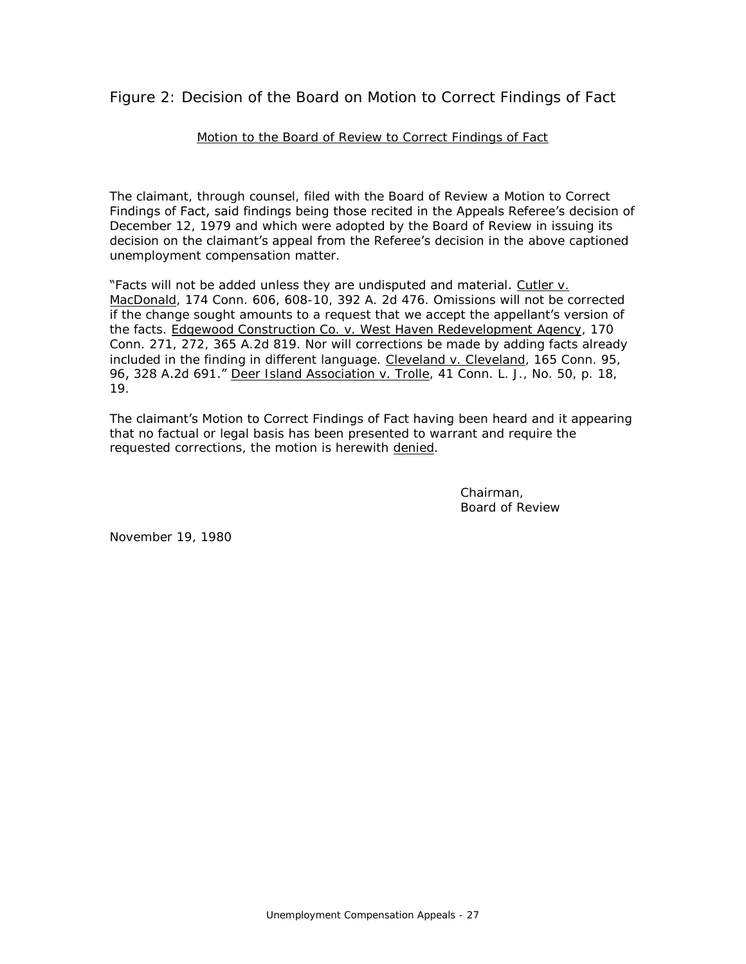<span id="page-26-0"></span>Figure 2: Decision of the Board on Motion to Correct Findings of Fact

### Motion to the Board of Review to Correct Findings of Fact

The claimant, through counsel, filed with the Board of Review a Motion to Correct Findings of Fact, said findings being those recited in the Appeals Referee's decision of December 12, 1979 and which were adopted by the Board of Review in issuing its decision on the claimant's appeal from the Referee's decision in the above captioned unemployment compensation matter.

"Facts will not be added unless they are undisputed and material. Cutler v. MacDonald, 174 Conn. 606, 608-10, 392 A. 2d 476. Omissions will not be corrected if the change sought amounts to a request that we accept the appellant's version of the facts. Edgewood Construction Co. v. West Haven Redevelopment Agency, 170 Conn. 271, 272, 365 A.2d 819. Nor will corrections be made by adding facts already included in the finding in different language. Cleveland v. Cleveland, 165 Conn. 95, 96, 328 A.2d 691." Deer Island Association v. Trolle, 41 Conn. L. J., No. 50, p. 18, 19.

The claimant's Motion to Correct Findings of Fact having been heard and it appearing that no factual or legal basis has been presented to warrant and require the requested corrections, the motion is herewith denied.

> Chairman, Board of Review

November 19, 1980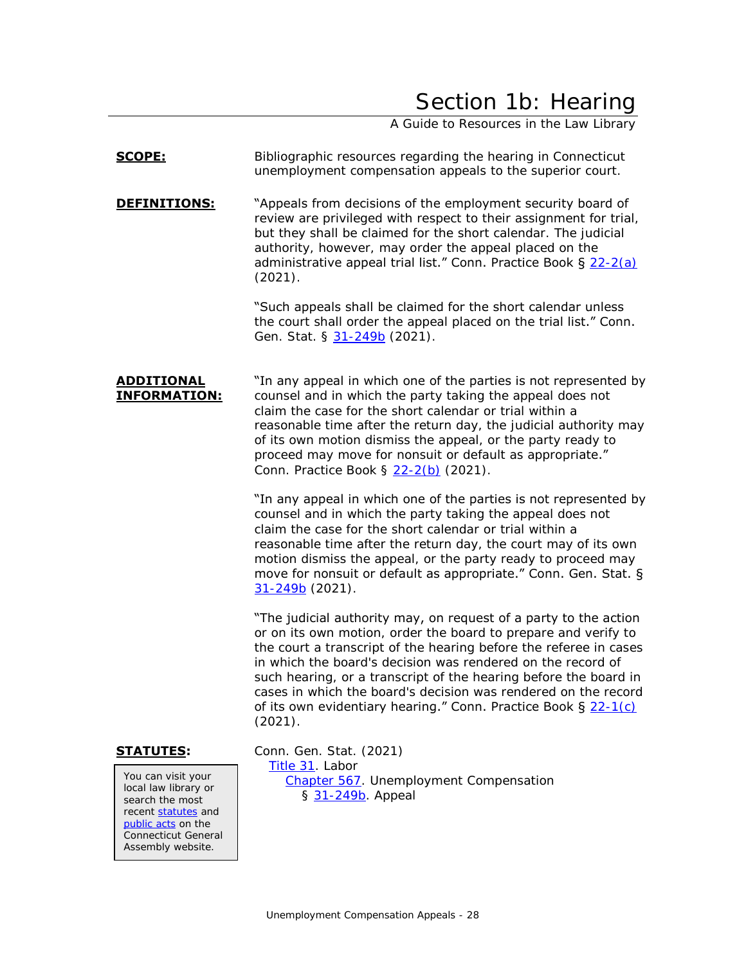## Section 1b: Hearing

A Guide to Resources in the Law Library

### <span id="page-27-0"></span>**SCOPE:** Bibliographic resources regarding the hearing in Connecticut unemployment compensation appeals to the superior court.

**DEFINITIONS:** "Appeals from decisions of the employment security board of review are privileged with respect to their assignment for trial, but they shall be claimed for the short calendar. The judicial authority, however, may order the appeal placed on the administrative appeal trial list." Conn. Practice Book § [22-2\(a\)](https://www.jud.ct.gov/Publications/PracticeBook/PB.pdf#page=278) (2021).

> "Such appeals shall be claimed for the short calendar unless the court shall order the appeal placed on the trial list." Conn. Gen. Stat. § [31-249b](https://www.cga.ct.gov/current/pub/chap_567.htm#sec_31-249b) (2021).

**ADDITIONAL INFORMATION:** "In any appeal in which one of the parties is not represented by counsel and in which the party taking the appeal does not claim the case for the short calendar or trial within a reasonable time after the return day, the judicial authority may of its own motion dismiss the appeal, or the party ready to proceed may move for nonsuit or default as appropriate." Conn. Practice Book § [22-2\(b\)](https://www.jud.ct.gov/Publications/PracticeBook/PB.pdf#page=278) (2021).

> "In any appeal in which one of the parties is not represented by counsel and in which the party taking the appeal does not claim the case for the short calendar or trial within a reasonable time after the return day, the court may of its own motion dismiss the appeal, or the party ready to proceed may move for nonsuit or default as appropriate." Conn. Gen. Stat. § [31-249b](https://www.cga.ct.gov/current/pub/chap_567.htm#sec_31-249b) (2021).

> "The judicial authority may, on request of a party to the action or on its own motion, order the board to prepare and verify to the court a transcript of the hearing before the referee in cases in which the board's decision was rendered on the record of such hearing, or a transcript of the hearing before the board in cases in which the board's decision was rendered on the record of its own evidentiary hearing." Conn. Practice Book  $\S 22-1(c)$  $\S 22-1(c)$ (2021).

You can visit your local law library or search the most recen[t statutes](https://search.cga.state.ct.us/r/statute/) and [public acts](https://search.cga.state.ct.us/r/adv/dtsearch_form.asp) on the Connecticut General Assembly website.

**STATUTES:** Conn. Gen. Stat. (2021) [Title 31.](https://www.cga.ct.gov/current/pub/title_31.htm) Labor [Chapter 567.](https://www.cga.ct.gov/current/pub/chap_567.htm) Unemployment Compensation § [31-249b.](https://www.cga.ct.gov/current/pub/chap_567.htm#sec_31-249b) Appeal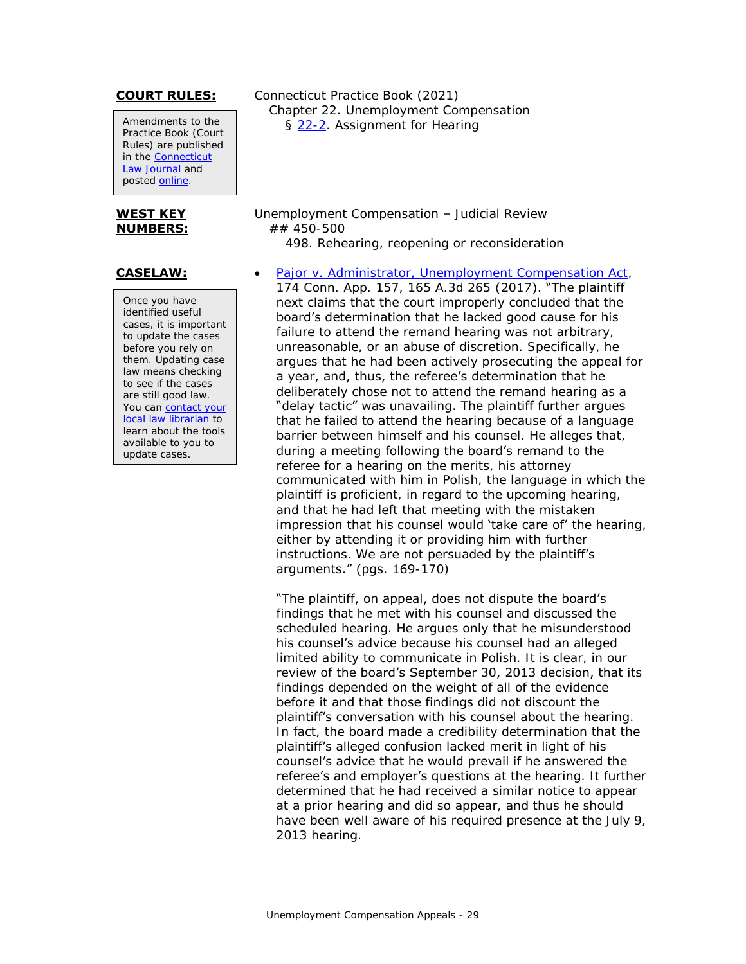Amendments to the Practice Book (Court Rules) are published in the [Connecticut](https://jud.ct.gov/lawjournal/)  [Law Journal](https://jud.ct.gov/lawjournal/) and posted [online.](https://www.jud.ct.gov/pb.htm)

#### **WEST KEY NUMBERS:**

Once you have identified useful cases, it is important to update the cases before you rely on them. Updating case law means checking to see if the cases are still good law. You can contact your [local law librarian](https://www.jud.ct.gov/lawlib/staff.htm) to learn about the tools available to you to update cases.

**COURT RULES:** Connecticut Practice Book (2021) Chapter 22. Unemployment Compensation § [22-2.](https://www.jud.ct.gov/Publications/PracticeBook/PB.pdf#page=278) Assignment for Hearing

> Unemployment Compensation – Judicial Review ## 450-500 498. Rehearing, reopening or reconsideration

**CASELAW:** • [Pajor v. Administrator, Unemployment Compensation Act,](https://scholar.google.com/scholar_case?case=16070324087110718984) 174 Conn. App. 157, 165 A.3d 265 (2017). "The plaintiff next claims that the court improperly concluded that the board's determination that he lacked good cause for his failure to attend the remand hearing was not arbitrary, unreasonable, or an abuse of discretion. Specifically, he argues that he had been actively prosecuting the appeal for a year, and, thus, the referee's determination that he deliberately chose not to attend the remand hearing as a "delay tactic" was unavailing. The plaintiff further argues that he failed to attend the hearing because of a language barrier between himself and his counsel. He alleges that, during a meeting following the board's remand to the referee for a hearing on the merits, his attorney communicated with him in Polish, the language in which the plaintiff is proficient, in regard to the upcoming hearing, and that he had left that meeting with the mistaken impression that his counsel would 'take care of' the hearing, either by attending it or providing him with further instructions. We are not persuaded by the plaintiff's arguments." (pgs. 169-170)

> "The plaintiff, on appeal, does not dispute the board's findings that he met with his counsel and discussed the scheduled hearing. He argues only that he misunderstood his counsel's advice because his counsel had an alleged limited ability to communicate in Polish. It is clear, in our review of the board's September 30, 2013 decision, that its findings depended on the weight of all of the evidence before it and that those findings did not discount the plaintiff's conversation with his counsel about the hearing. In fact, the board made a credibility determination that the plaintiff's alleged confusion lacked merit in light of his counsel's advice that he would prevail if he answered the referee's and employer's questions at the hearing. It further determined that he had received a similar notice to appear at a prior hearing and did so appear, and thus he should have been well aware of his required presence at the July 9, 2013 hearing.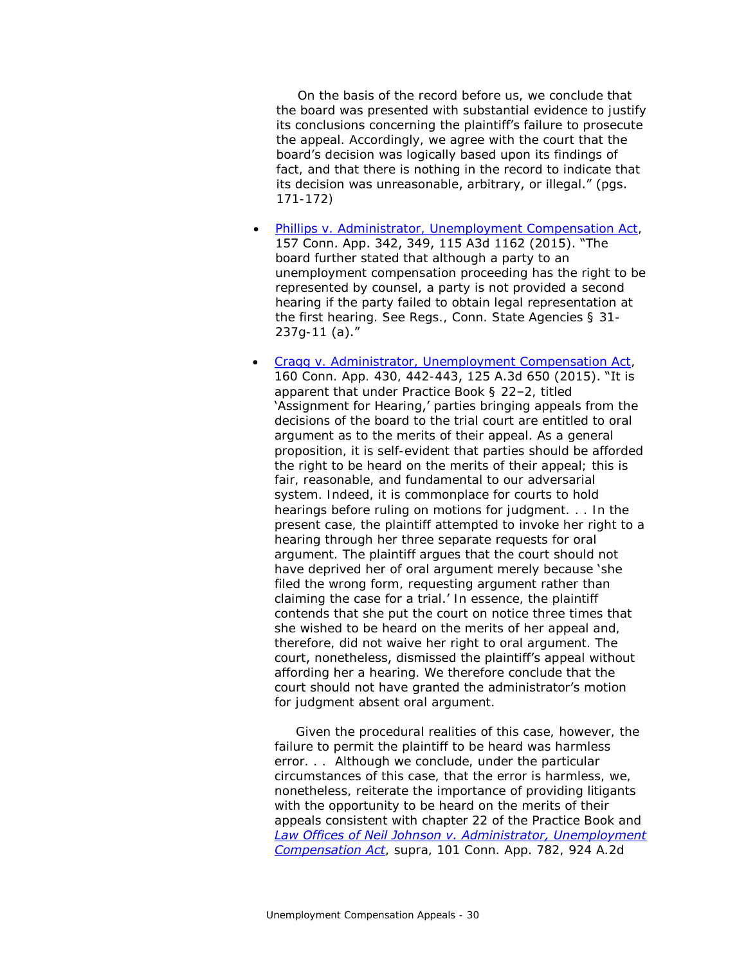On the basis of the record before us, we conclude that the board was presented with substantial evidence to justify its conclusions concerning the plaintiff's failure to prosecute the appeal. Accordingly, we agree with the court that the board's decision was logically based upon its findings of fact, and that there is nothing in the record to indicate that its decision was unreasonable, arbitrary, or illegal." (pgs. 171-172)

- [Phillips v. Administrator, Unemployment Compensation Act,](https://scholar.google.com/scholar_case?case=12160900474419414886) 157 Conn. App. 342, 349, 115 A3d 1162 (2015). "The board further stated that although a party to an unemployment compensation proceeding has the right to be represented by counsel, a party is not provided a second hearing if the party failed to obtain legal representation at the first hearing. See Regs., Conn. State Agencies § 31- 237g-11 (a)."
- [Cragg v. Administrator, Unemployment Compensation Act,](https://scholar.google.com/scholar_case?case=11304373646445016963) 160 Conn. App. 430, 442-443, 125 A.3d 650 (2015). "It is apparent that under Practice Book § 22–2, titled 'Assignment for Hearing,' parties bringing appeals from the decisions of the board to the trial court are entitled to oral argument as to the merits of their appeal. As a general proposition, it is self-evident that parties should be afforded the right to be heard on the merits of their appeal; this is fair, reasonable, and fundamental to our adversarial system. Indeed, it is commonplace for courts to hold hearings before ruling on motions for judgment. . . In the present case, the plaintiff attempted to invoke her right to a hearing through her three separate requests for oral argument. The plaintiff argues that the court should not have deprived her of oral argument merely because 'she filed the wrong form, requesting argument rather than claiming the case for a trial.' In essence, the plaintiff contends that she put the court on notice three times that she wished to be heard on the merits of her appeal and, therefore, did not waive her right to oral argument. The court, nonetheless, dismissed the plaintiff's appeal without affording her a hearing. We therefore conclude that the court should not have granted the administrator's motion for judgment absent oral argument.

 Given the procedural realities of this case, however, the failure to permit the plaintiff to be heard was harmless error. . . Although we conclude, under the particular circumstances of this case, that the error is harmless, we, nonetheless, reiterate the importance of providing litigants with the opportunity to be heard on the merits of their appeals consistent with chapter 22 of the Practice Book and *[Law Offices of Neil Johnson v. Administrator, Unemployment](https://scholar.google.com/scholar_case?case=463208413637721507)  [Compensation Act](https://scholar.google.com/scholar_case?case=463208413637721507)*, supra, 101 Conn. App. 782, 924 A.2d